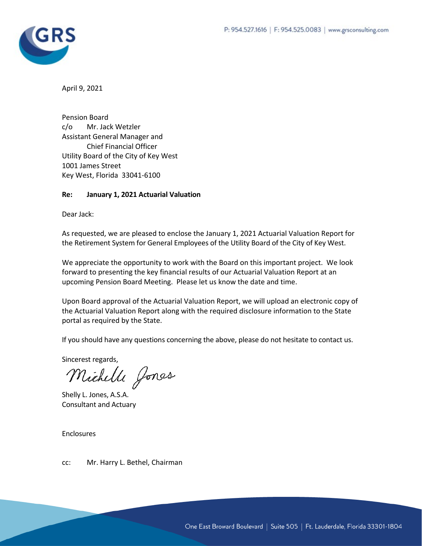

April 9, 2021

Pension Board c/o Mr. Jack Wetzler Assistant General Manager and Chief Financial Officer Utility Board of the City of Key West 1001 James Street Key West, Florida 33041-6100

#### **Re: January 1, 2021 Actuarial Valuation**

Dear Jack:

As requested, we are pleased to enclose the January 1, 2021 Actuarial Valuation Report for the Retirement System for General Employees of the Utility Board of the City of Key West.

We appreciate the opportunity to work with the Board on this important project. We look forward to presenting the key financial results of our Actuarial Valuation Report at an upcoming Pension Board Meeting. Please let us know the date and time.

Upon Board approval of the Actuarial Valuation Report, we will upload an electronic copy of the Actuarial Valuation Report along with the required disclosure information to the State portal as required by the State.

If you should have any questions concerning the above, please do not hesitate to contact us.

Sincerest regards,

Michelle Jones

Shelly L. Jones, A.S.A. Consultant and Actuary

**Enclosures** 

cc: Mr. Harry L. Bethel, Chairman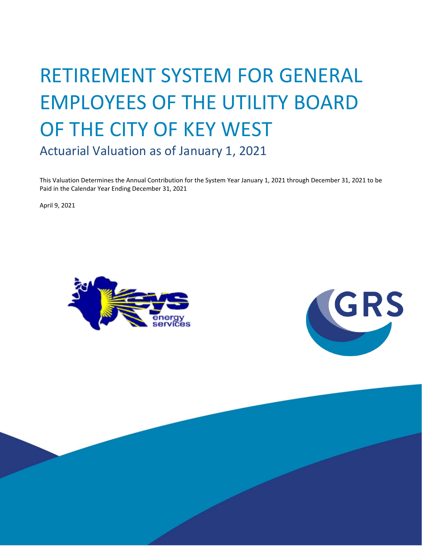# RETIREMENT SYSTEM FOR GENERAL EMPLOYEES OF THE UTILITY BOARD OF THE CITY OF KEY WEST Actuarial Valuation as of January 1, 2021

This Valuation Determines the Annual Contribution for the System Year January 1, 2021 through December 31, 2021 to be Paid in the Calendar Year Ending December 31, 2021

April 9, 2021



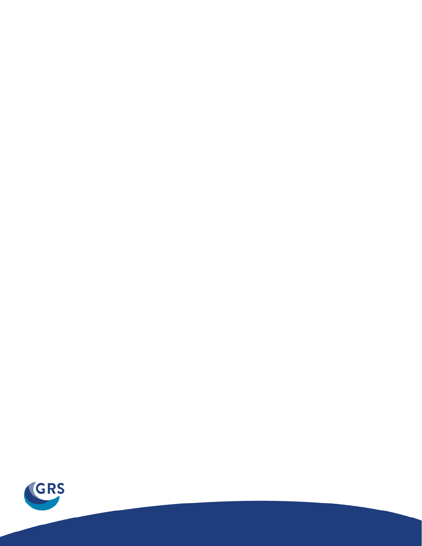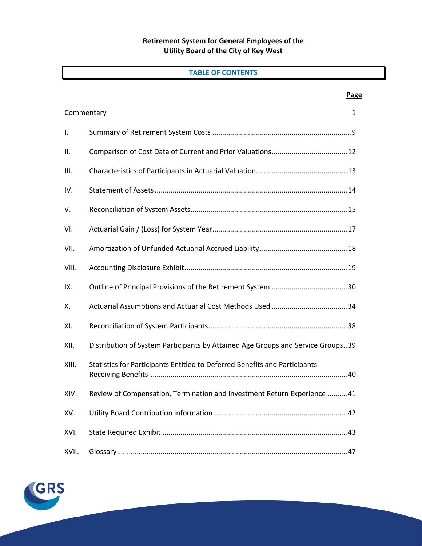# **Retirement System for General Employees of the Utility Board of the City of Key West**

## **TABLE OF CONTENTS**

|       |                                                                                 | Page |
|-------|---------------------------------------------------------------------------------|------|
|       | Commentary                                                                      | 1    |
| Ι.    |                                                                                 |      |
| Ш.    |                                                                                 |      |
| III.  |                                                                                 |      |
| IV.   |                                                                                 |      |
| V.    |                                                                                 |      |
| VI.   |                                                                                 |      |
| VII.  |                                                                                 |      |
| VIII. |                                                                                 |      |
| IX.   |                                                                                 |      |
| Х.    |                                                                                 |      |
| XI.   |                                                                                 |      |
| XII.  | Distribution of System Participants by Attained Age Groups and Service Groups39 |      |
| XIII. | Statistics for Participants Entitled to Deferred Benefits and Participants      |      |
| XIV.  | Review of Compensation, Termination and Investment Return Experience 41         |      |
| XV.   |                                                                                 |      |
| XVI.  |                                                                                 |      |
| XVII. |                                                                                 |      |

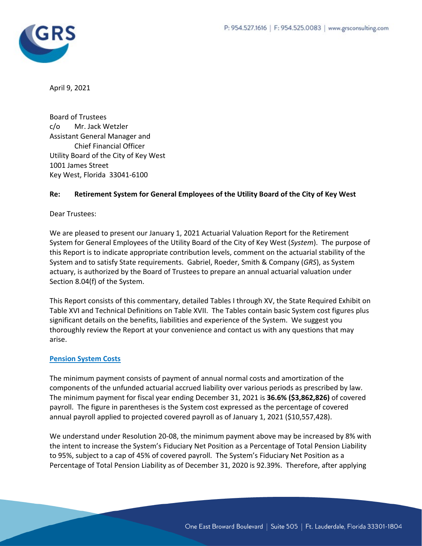

April 9, 2021

Board of Trustees c/o Mr. Jack Wetzler Assistant General Manager and Chief Financial Officer Utility Board of the City of Key West 1001 James Street Key West, Florida 33041-6100

#### **Re: Retirement System for General Employees of the Utility Board of the City of Key West**

Dear Trustees:

We are pleased to present our January 1, 2021 Actuarial Valuation Report for the Retirement System for General Employees of the Utility Board of the City of Key West (*System*). The purpose of this Report is to indicate appropriate contribution levels, comment on the actuarial stability of the System and to satisfy State requirements. Gabriel, Roeder, Smith & Company (*GRS*), as System actuary, is authorized by the Board of Trustees to prepare an annual actuarial valuation under Section 8.04(f) of the System.

This Report consists of this commentary, detailed Tables I through XV, the State Required Exhibit on Table XVI and Technical Definitions on Table XVII. The Tables contain basic System cost figures plus significant details on the benefits, liabilities and experience of the System. We suggest you thoroughly review the Report at your convenience and contact us with any questions that may arise.

#### **Pension System Costs**

The minimum payment consists of payment of annual normal costs and amortization of the components of the unfunded actuarial accrued liability over various periods as prescribed by law. The minimum payment for fiscal year ending December 31, 2021 is **36.6% (\$3,862,826)** of covered payroll. The figure in parentheses is the System cost expressed as the percentage of covered annual payroll applied to projected covered payroll as of January 1, 2021 (\$10,557,428).

We understand under Resolution 20-08, the minimum payment above may be increased by 8% with the intent to increase the System's Fiduciary Net Position as a Percentage of Total Pension Liability to 95%, subject to a cap of 45% of covered payroll. The System's Fiduciary Net Position as a Percentage of Total Pension Liability as of December 31, 2020 is 92.39%. Therefore, after applying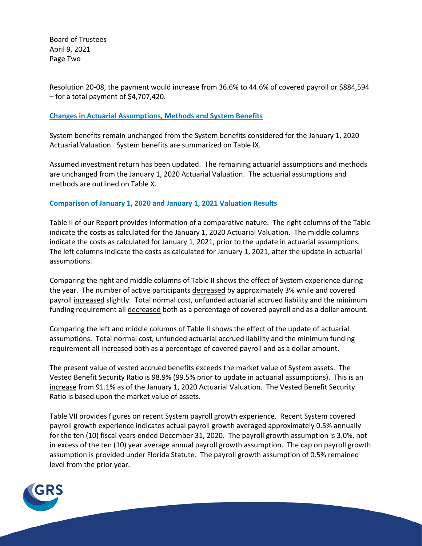Board of Trustees April 9, 2021 Page Two

Resolution 20-08, the payment would increase from 36.6% to 44.6% of covered payroll or \$884,594 – for a total payment of \$4,707,420.

## **Changes in Actuarial Assumptions, Methods and System Benefits**

System benefits remain unchanged from the System benefits considered for the January 1, 2020 Actuarial Valuation. System benefits are summarized on Table IX.

Assumed investment return has been updated. The remaining actuarial assumptions and methods are unchanged from the January 1, 2020 Actuarial Valuation. The actuarial assumptions and methods are outlined on Table X.

## **Comparison of January 1, 2020 and January 1, 2021 Valuation Results**

Table II of our Report provides information of a comparative nature. The right columns of the Table indicate the costs as calculated for the January 1, 2020 Actuarial Valuation. The middle columns indicate the costs as calculated for January 1, 2021, prior to the update in actuarial assumptions. The left columns indicate the costs as calculated for January 1, 2021, after the update in actuarial assumptions.

Comparing the right and middle columns of Table II shows the effect of System experience during the year. The number of active participants decreased by approximately 3% while and covered payroll increased slightly. Total normal cost, unfunded actuarial accrued liability and the minimum funding requirement all decreased both as a percentage of covered payroll and as a dollar amount.

Comparing the left and middle columns of Table II shows the effect of the update of actuarial assumptions. Total normal cost, unfunded actuarial accrued liability and the minimum funding requirement all increased both as a percentage of covered payroll and as a dollar amount.

The present value of vested accrued benefits exceeds the market value of System assets. The Vested Benefit Security Ratio is 98.9% (99.5% prior to update in actuarial assumptions). This is an increase from 91.1% as of the January 1, 2020 Actuarial Valuation. The Vested Benefit Security Ratio is based upon the market value of assets.

Table VII provides figures on recent System payroll growth experience. Recent System covered payroll growth experience indicates actual payroll growth averaged approximately 0.5% annually for the ten (10) fiscal years ended December 31, 2020. The payroll growth assumption is 3.0%, not in excess of the ten (10) year average annual payroll growth assumption. The cap on payroll growth assumption is provided under Florida Statute. The payroll growth assumption of 0.5% remained level from the prior year.

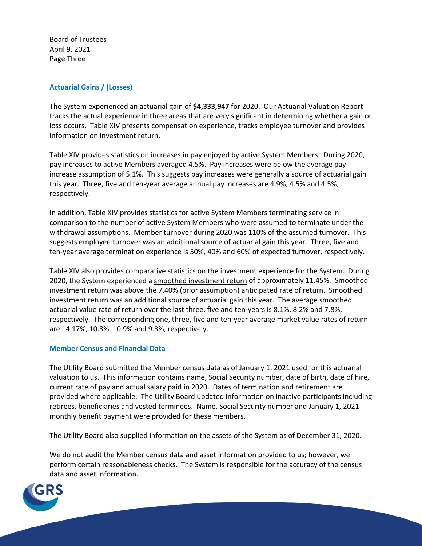Board of Trustees April 9, 2021 Page Three

## **Actuarial Gains / (Losses)**

The System experienced an actuarial gain of **\$4,333,947** for 2020. Our Actuarial Valuation Report tracks the actual experience in three areas that are very significant in determining whether a gain or loss occurs. Table XIV presents compensation experience, tracks employee turnover and provides information on investment return.

Table XIV provides statistics on increases in pay enjoyed by active System Members. During 2020, pay increases to active Members averaged 4.5%. Pay increases were below the average pay increase assumption of 5.1%. This suggests pay increases were generally a source of actuarial gain this year. Three, five and ten-year average annual pay increases are 4.9%, 4.5% and 4.5%, respectively.

In addition, Table XIV provides statistics for active System Members terminating service in comparison to the number of active System Members who were assumed to terminate under the withdrawal assumptions. Member turnover during 2020 was 110% of the assumed turnover. This suggests employee turnover was an additional source of actuarial gain this year. Three, five and ten-year average termination experience is 50%, 40% and 60% of expected turnover, respectively.

Table XIV also provides comparative statistics on the investment experience for the System. During 2020, the System experienced a smoothed investment return of approximately 11.45%. Smoothed investment return was above the 7.40% (prior assumption) anticipated rate of return. Smoothed investment return was an additional source of actuarial gain this year. The average smoothed actuarial value rate of return over the last three, five and ten-years is 8.1%, 8.2% and 7.8%, respectively. The corresponding one, three, five and ten-year average market value rates of return are 14.17%, 10.8%, 10.9% and 9.3%, respectively.

#### **Member Census and Financial Data**

The Utility Board submitted the Member census data as of January 1, 2021 used for this actuarial valuation to us. This information contains name, Social Security number, date of birth, date of hire, current rate of pay and actual salary paid in 2020. Dates of termination and retirement are provided where applicable. The Utility Board updated information on inactive participants including retirees, beneficiaries and vested terminees. Name, Social Security number and January 1, 2021 monthly benefit payment were provided for these members.

The Utility Board also supplied information on the assets of the System as of December 31, 2020.

We do not audit the Member census data and asset information provided to us; however, we perform certain reasonableness checks. The System is responsible for the accuracy of the census data and asset information.

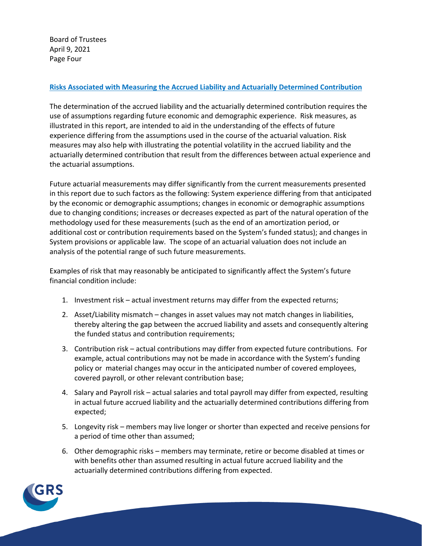Board of Trustees April 9, 2021 Page Four

# **Risks Associated with Measuring the Accrued Liability and Actuarially Determined Contribution**

The determination of the accrued liability and the actuarially determined contribution requires the use of assumptions regarding future economic and demographic experience. Risk measures, as illustrated in this report, are intended to aid in the understanding of the effects of future experience differing from the assumptions used in the course of the actuarial valuation. Risk measures may also help with illustrating the potential volatility in the accrued liability and the actuarially determined contribution that result from the differences between actual experience and the actuarial assumptions.

Future actuarial measurements may differ significantly from the current measurements presented in this report due to such factors as the following: System experience differing from that anticipated by the economic or demographic assumptions; changes in economic or demographic assumptions due to changing conditions; increases or decreases expected as part of the natural operation of the methodology used for these measurements (such as the end of an amortization period, or additional cost or contribution requirements based on the System's funded status); and changes in System provisions or applicable law. The scope of an actuarial valuation does not include an analysis of the potential range of such future measurements.

Examples of risk that may reasonably be anticipated to significantly affect the System's future financial condition include:

- 1. Investment risk actual investment returns may differ from the expected returns;
- 2. Asset/Liability mismatch changes in asset values may not match changes in liabilities, thereby altering the gap between the accrued liability and assets and consequently altering the funded status and contribution requirements;
- 3. Contribution risk actual contributions may differ from expected future contributions. For example, actual contributions may not be made in accordance with the System's funding policy or material changes may occur in the anticipated number of covered employees, covered payroll, or other relevant contribution base;
- 4. Salary and Payroll risk actual salaries and total payroll may differ from expected, resulting in actual future accrued liability and the actuarially determined contributions differing from expected;
- 5. Longevity risk members may live longer or shorter than expected and receive pensions for a period of time other than assumed;
- 6. Other demographic risks members may terminate, retire or become disabled at times or with benefits other than assumed resulting in actual future accrued liability and the actuarially determined contributions differing from expected.

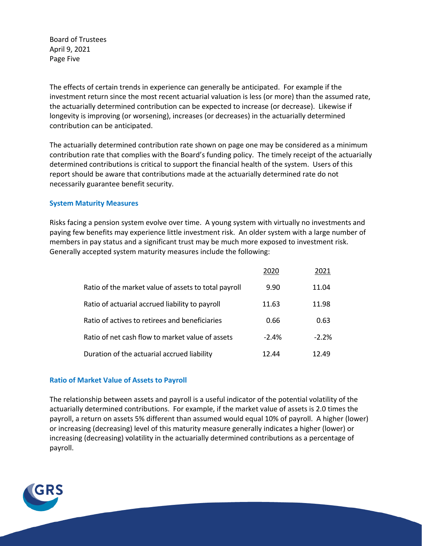Board of Trustees April 9, 2021 Page Five

The effects of certain trends in experience can generally be anticipated. For example if the investment return since the most recent actuarial valuation is less (or more) than the assumed rate, the actuarially determined contribution can be expected to increase (or decrease). Likewise if longevity is improving (or worsening), increases (or decreases) in the actuarially determined contribution can be anticipated.

The actuarially determined contribution rate shown on page one may be considered as a minimum contribution rate that complies with the Board's funding policy. The timely receipt of the actuarially determined contributions is critical to support the financial health of the system. Users of this report should be aware that contributions made at the actuarially determined rate do not necessarily guarantee benefit security.

## **System Maturity Measures**

Risks facing a pension system evolve over time. A young system with virtually no investments and paying few benefits may experience little investment risk. An older system with a large number of members in pay status and a significant trust may be much more exposed to investment risk. Generally accepted system maturity measures include the following:

|                                                      | 2020    | 2021    |  |
|------------------------------------------------------|---------|---------|--|
| Ratio of the market value of assets to total payroll | 9.90    | 11.04   |  |
| Ratio of actuarial accrued liability to payroll      | 11.63   | 11.98   |  |
| Ratio of actives to retirees and beneficiaries       | 0.66    | 0.63    |  |
| Ratio of net cash flow to market value of assets     | $-2.4%$ | $-2.2%$ |  |
| Duration of the actuarial accrued liability          | 12.44   | 12.49   |  |

## **Ratio of Market Value of Assets to Payroll**

The relationship between assets and payroll is a useful indicator of the potential volatility of the actuarially determined contributions. For example, if the market value of assets is 2.0 times the payroll, a return on assets 5% different than assumed would equal 10% of payroll. A higher (lower) or increasing (decreasing) level of this maturity measure generally indicates a higher (lower) or increasing (decreasing) volatility in the actuarially determined contributions as a percentage of payroll.

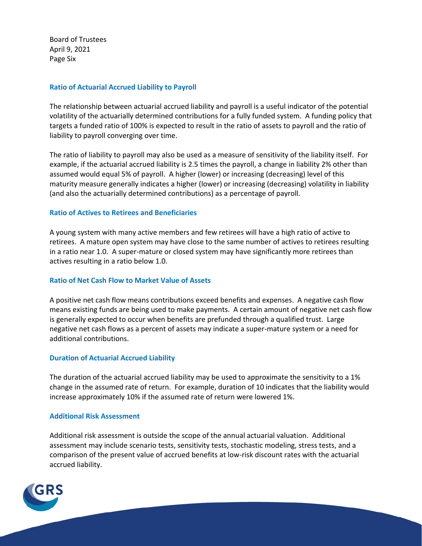Board of Trustees April 9, 2021 Page Six

#### **Ratio of Actuarial Accrued Liability to Payroll**

The relationship between actuarial accrued liability and payroll is a useful indicator of the potential volatility of the actuarially determined contributions for a fully funded system. A funding policy that targets a funded ratio of 100% is expected to result in the ratio of assets to payroll and the ratio of liability to payroll converging over time.

The ratio of liability to payroll may also be used as a measure of sensitivity of the liability itself. For example, if the actuarial accrued liability is 2.5 times the payroll, a change in liability 2% other than assumed would equal 5% of payroll. A higher (lower) or increasing (decreasing) level of this maturity measure generally indicates a higher (lower) or increasing (decreasing) volatility in liability (and also the actuarially determined contributions) as a percentage of payroll.

#### **Ratio of Actives to Retirees and Beneficiaries**

A young system with many active members and few retirees will have a high ratio of active to retirees. A mature open system may have close to the same number of actives to retirees resulting in a ratio near 1.0. A super-mature or closed system may have significantly more retirees than actives resulting in a ratio below 1.0.

#### **Ratio of Net Cash Flow to Market Value of Assets**

A positive net cash flow means contributions exceed benefits and expenses. A negative cash flow means existing funds are being used to make payments. A certain amount of negative net cash flow is generally expected to occur when benefits are prefunded through a qualified trust. Large negative net cash flows as a percent of assets may indicate a super-mature system or a need for additional contributions.

#### **Duration of Actuarial Accrued Liability**

The duration of the actuarial accrued liability may be used to approximate the sensitivity to a 1% change in the assumed rate of return. For example, duration of 10 indicates that the liability would increase approximately 10% if the assumed rate of return were lowered 1%.

#### **Additional Risk Assessment**

Additional risk assessment is outside the scope of the annual actuarial valuation. Additional assessment may include scenario tests, sensitivity tests, stochastic modeling, stress tests, and a comparison of the present value of accrued benefits at low-risk discount rates with the actuarial accrued liability.

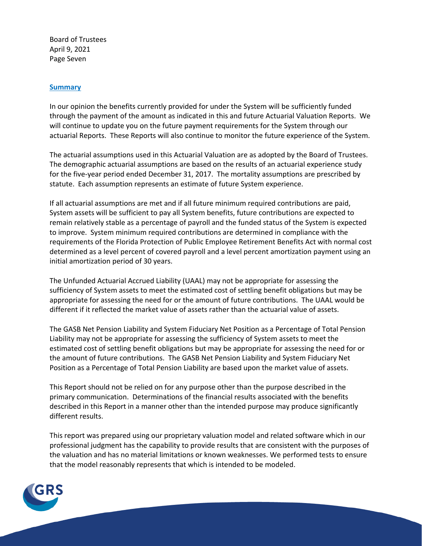Board of Trustees April 9, 2021 Page Seven

#### **Summary**

In our opinion the benefits currently provided for under the System will be sufficiently funded through the payment of the amount as indicated in this and future Actuarial Valuation Reports. We will continue to update you on the future payment requirements for the System through our actuarial Reports. These Reports will also continue to monitor the future experience of the System.

The actuarial assumptions used in this Actuarial Valuation are as adopted by the Board of Trustees. The demographic actuarial assumptions are based on the results of an actuarial experience study for the five-year period ended December 31, 2017. The mortality assumptions are prescribed by statute. Each assumption represents an estimate of future System experience.

If all actuarial assumptions are met and if all future minimum required contributions are paid, System assets will be sufficient to pay all System benefits, future contributions are expected to remain relatively stable as a percentage of payroll and the funded status of the System is expected to improve. System minimum required contributions are determined in compliance with the requirements of the Florida Protection of Public Employee Retirement Benefits Act with normal cost determined as a level percent of covered payroll and a level percent amortization payment using an initial amortization period of 30 years.

The Unfunded Actuarial Accrued Liability (UAAL) may not be appropriate for assessing the sufficiency of System assets to meet the estimated cost of settling benefit obligations but may be appropriate for assessing the need for or the amount of future contributions. The UAAL would be different if it reflected the market value of assets rather than the actuarial value of assets.

The GASB Net Pension Liability and System Fiduciary Net Position as a Percentage of Total Pension Liability may not be appropriate for assessing the sufficiency of System assets to meet the estimated cost of settling benefit obligations but may be appropriate for assessing the need for or the amount of future contributions. The GASB Net Pension Liability and System Fiduciary Net Position as a Percentage of Total Pension Liability are based upon the market value of assets.

This Report should not be relied on for any purpose other than the purpose described in the primary communication. Determinations of the financial results associated with the benefits described in this Report in a manner other than the intended purpose may produce significantly different results.

This report was prepared using our proprietary valuation model and related software which in our professional judgment has the capability to provide results that are consistent with the purposes of the valuation and has no material limitations or known weaknesses. We performed tests to ensure that the model reasonably represents that which is intended to be modeled.

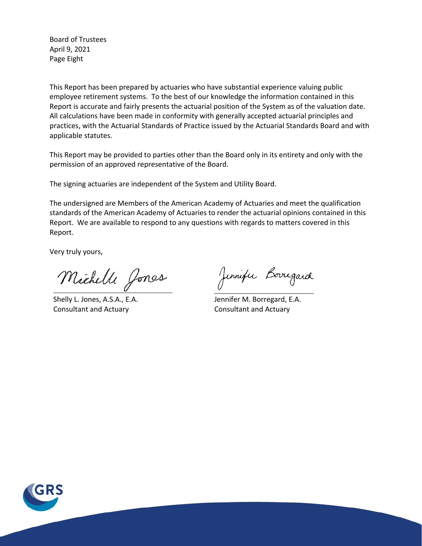Board of Trustees April 9, 2021 Page Eight

This Report has been prepared by actuaries who have substantial experience valuing public employee retirement systems. To the best of our knowledge the information contained in this Report is accurate and fairly presents the actuarial position of the System as of the valuation date. All calculations have been made in conformity with generally accepted actuarial principles and practices, with the Actuarial Standards of Practice issued by the Actuarial Standards Board and with applicable statutes.

This Report may be provided to parties other than the Board only in its entirety and only with the permission of an approved representative of the Board.

The signing actuaries are independent of the System and Utility Board.

The undersigned are Members of the American Academy of Actuaries and meet the qualification standards of the American Academy of Actuaries to render the actuarial opinions contained in this Report. We are available to respond to any questions with regards to matters covered in this Report.

Very truly yours,

Michelle Jones

Shelly L. Jones, A.S.A., E.A. Consultant and Actuary

Jennifee Booregard

Jennifer M. Borregard, E.A. Consultant and Actuary

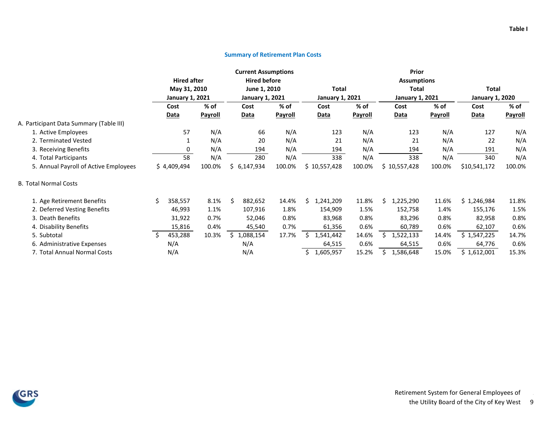|                                         |                        | <b>Current Assumptions</b> | Prior                  |                     |                        |                |                        |         |                        |                |
|-----------------------------------------|------------------------|----------------------------|------------------------|---------------------|------------------------|----------------|------------------------|---------|------------------------|----------------|
|                                         | <b>Hired after</b>     |                            |                        | <b>Hired before</b> |                        |                | <b>Assumptions</b>     |         |                        |                |
|                                         | May 31, 2010           |                            | June 1, 2010           |                     | <b>Total</b>           |                | <b>Total</b>           |         | <b>Total</b>           |                |
|                                         | <b>January 1, 2021</b> |                            | <b>January 1, 2021</b> |                     | <b>January 1, 2021</b> |                | <b>January 1, 2021</b> |         | <b>January 1, 2020</b> |                |
|                                         | Cost                   | % of                       | Cost                   | % of                | Cost                   | % of           | Cost                   | $%$ of  | Cost                   | $%$ of         |
|                                         | Data                   | Payroll                    | Data                   | <b>Payroll</b>      | Data                   | <b>Payroll</b> | Data                   | Payroll | Data                   | <b>Payroll</b> |
| A. Participant Data Summary (Table III) |                        |                            |                        |                     |                        |                |                        |         |                        |                |
| 1. Active Employees                     | 57                     | N/A                        | 66                     | N/A                 | 123                    | N/A            | 123                    | N/A     | 127                    | N/A            |
| 2. Terminated Vested                    |                        | N/A                        | 20                     | N/A                 | 21                     | N/A            | 21                     | N/A     | 22                     | N/A            |
| 3. Receiving Benefits                   | 0                      | N/A                        | 194                    | N/A                 | 194                    | N/A            | 194                    | N/A     | 191                    | N/A            |
| 4. Total Participants                   | 58                     | N/A                        | 280                    | N/A                 | 338                    | N/A            | 338                    | N/A     | 340                    | N/A            |
| 5. Annual Payroll of Active Employees   | \$4,409,494            | 100.0%                     | Ś.<br>6,147,934        | 100.0%              | \$10,557,428           | 100.0%         | \$10,557,428           | 100.0%  | \$10,541,172           | 100.0%         |
| <b>B. Total Normal Costs</b>            |                        |                            |                        |                     |                        |                |                        |         |                        |                |
| 1. Age Retirement Benefits              | \$<br>358,557          | 8.1%                       | Ś.<br>882,652          | 14.4%               | \$.<br>1,241,209       | 11.8%          | 1,225,290<br>Ś         | 11.6%   | \$1,246,984            | 11.8%          |
| 2. Deferred Vesting Benefits            | 46,993                 | 1.1%                       | 107,916                | 1.8%                | 154,909                | 1.5%           | 152,758                | 1.4%    | 155,176                | 1.5%           |
| 3. Death Benefits                       | 31,922                 | 0.7%                       | 52,046                 | 0.8%                | 83,968                 | 0.8%           | 83,296                 | 0.8%    | 82,958                 | 0.8%           |
| 4. Disability Benefits                  | 15,816                 | 0.4%                       | 45,540                 | 0.7%                | 61,356                 | 0.6%           | 60,789                 | 0.6%    | 62,107                 | 0.6%           |
| 5. Subtotal                             | 453,288                | 10.3%                      | 1,088,154              | 17.7%               | 1,541,442              | 14.6%          | 1,522,133              | 14.4%   | \$1,547,225            | 14.7%          |
| 6. Administrative Expenses              | N/A                    |                            | N/A                    |                     | 64,515                 | 0.6%           | 64,515                 | 0.6%    | 64,776                 | 0.6%           |
| 7. Total Annual Normal Costs            | N/A                    |                            | N/A                    |                     | 1,605,957              | 15.2%          | 1,586,648              | 15.0%   | \$1,612,001            | 15.3%          |

# **Summary of Retirement Plan Costs**

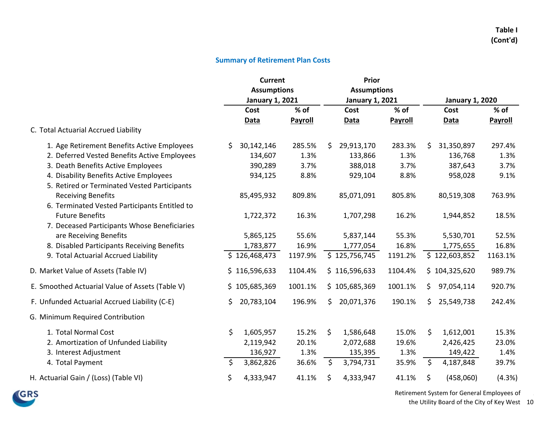## **Summary of Retirement Plan Costs**

|                                                 | <b>Current</b>         |                    | Prior                  |                    |                        |                |
|-------------------------------------------------|------------------------|--------------------|------------------------|--------------------|------------------------|----------------|
|                                                 |                        | <b>Assumptions</b> |                        | <b>Assumptions</b> |                        |                |
|                                                 | <b>January 1, 2021</b> |                    | <b>January 1, 2021</b> |                    | <b>January 1, 2020</b> |                |
|                                                 | Cost                   | % of               | Cost                   | % of               | Cost                   | % of           |
|                                                 | Data                   | <b>Payroll</b>     | <b>Data</b>            | <b>Payroll</b>     | Data                   | <b>Payroll</b> |
| C. Total Actuarial Accrued Liability            |                        |                    |                        |                    |                        |                |
| 1. Age Retirement Benefits Active Employees     | 30,142,146<br>Ś.       | 285.5%             | 29,913,170<br>\$.      | 283.3%             | 31,350,897<br>Ś.       | 297.4%         |
| 2. Deferred Vested Benefits Active Employees    | 134,607                | 1.3%               | 133,866                | 1.3%               | 136,768                | 1.3%           |
| 3. Death Benefits Active Employees              | 390,289                | 3.7%               | 388,018                | 3.7%               | 387,643                | 3.7%           |
| 4. Disability Benefits Active Employees         | 934,125                | 8.8%               | 929,104                | 8.8%               | 958,028                | 9.1%           |
| 5. Retired or Terminated Vested Participants    |                        |                    |                        |                    |                        |                |
| <b>Receiving Benefits</b>                       | 85,495,932             | 809.8%             | 85,071,091             | 805.8%             | 80,519,308             | 763.9%         |
| 6. Terminated Vested Participants Entitled to   |                        |                    |                        |                    |                        |                |
| <b>Future Benefits</b>                          | 1,722,372              | 16.3%              | 1,707,298              | 16.2%              | 1,944,852              | 18.5%          |
| 7. Deceased Participants Whose Beneficiaries    |                        |                    |                        |                    |                        |                |
| are Receiving Benefits                          | 5,865,125              | 55.6%              | 5,837,144              | 55.3%              | 5,530,701              | 52.5%          |
| 8. Disabled Participants Receiving Benefits     | 1,783,877              | 16.9%              | 1,777,054              | 16.8%              | 1,775,655              | 16.8%          |
| 9. Total Actuarial Accrued Liability            | \$126,468,473          | 1197.9%            | \$125,756,745          | 1191.2%            | \$122,603,852          | 1163.1%        |
| D. Market Value of Assets (Table IV)            | \$116,596,633          | 1104.4%            | \$116,596,633          | 1104.4%            | \$104,325,620          | 989.7%         |
| E. Smoothed Actuarial Value of Assets (Table V) | \$105,685,369          | 1001.1%            | \$105,685,369          | 1001.1%            | \$.<br>97,054,114      | 920.7%         |
| F. Unfunded Actuarial Accrued Liability (C-E)   | 20,783,104<br>\$.      | 196.9%             | \$.<br>20,071,376      | 190.1%             | \$.<br>25,549,738      | 242.4%         |
| G. Minimum Required Contribution                |                        |                    |                        |                    |                        |                |
| 1. Total Normal Cost                            | \$<br>1,605,957        | 15.2%              | \$<br>1,586,648        | 15.0%              | \$<br>1,612,001        | 15.3%          |
| 2. Amortization of Unfunded Liability           | 2,119,942              | 20.1%              | 2,072,688              | 19.6%              | 2,426,425              | 23.0%          |
| 3. Interest Adjustment                          | 136,927                | 1.3%               | 135,395                | 1.3%               | 149,422                | 1.4%           |
| 4. Total Payment                                | \$<br>3,862,826        | 36.6%              | \$<br>3,794,731        | 35.9%              | \$<br>4,187,848        | 39.7%          |
| H. Actuarial Gain / (Loss) (Table VI)           | \$<br>4,333,947        | 41.1%              | \$.<br>4,333,947       | 41.1%              | \$<br>(458,060)        | (4.3%)         |



Retirement System for General Employees of 0

the Utility Board of the City of Key West 10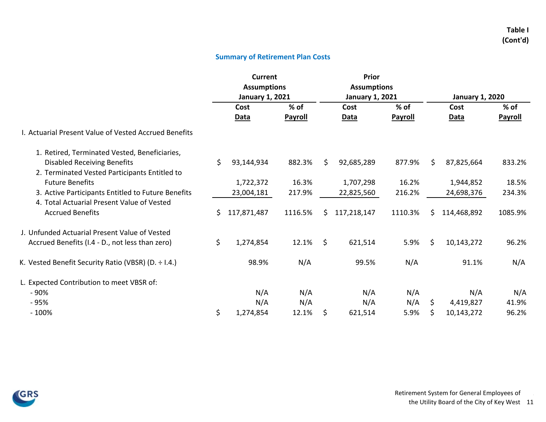## **Summary of Retirement Plan Costs**

|                                                              | <b>Current</b> |                        |                | <b>Prior</b> |                                              |                |    |                        |                |
|--------------------------------------------------------------|----------------|------------------------|----------------|--------------|----------------------------------------------|----------------|----|------------------------|----------------|
|                                                              |                | <b>Assumptions</b>     |                |              | <b>Assumptions</b><br><b>January 1, 2021</b> |                |    |                        |                |
|                                                              |                | <b>January 1, 2021</b> |                |              |                                              |                |    | <b>January 1, 2020</b> |                |
|                                                              |                | Cost                   | % of           |              | Cost                                         | % of           |    | Cost                   | $%$ of         |
|                                                              |                | Data                   | <b>Payroll</b> |              | Data                                         | <b>Payroll</b> |    | Data                   | <b>Payroll</b> |
| <b>I. Actuarial Present Value of Vested Accrued Benefits</b> |                |                        |                |              |                                              |                |    |                        |                |
| 1. Retired, Terminated Vested, Beneficiaries,                |                |                        |                |              |                                              |                |    |                        |                |
| <b>Disabled Receiving Benefits</b>                           | \$             | 93,144,934             | 882.3%         | Ŝ.           | 92,685,289                                   | 877.9%         | \$ | 87,825,664             | 833.2%         |
| 2. Terminated Vested Participants Entitled to                |                |                        |                |              |                                              |                |    |                        |                |
| <b>Future Benefits</b>                                       |                | 1,722,372              | 16.3%          |              | 1,707,298                                    | 16.2%          |    | 1,944,852              | 18.5%          |
| 3. Active Participants Entitled to Future Benefits           |                | 23,004,181             | 217.9%         |              | 22,825,560                                   | 216.2%         |    | 24,698,376             | 234.3%         |
| 4. Total Actuarial Present Value of Vested                   |                |                        |                |              |                                              |                |    |                        |                |
| <b>Accrued Benefits</b>                                      | S.             | 117,871,487            | 1116.5%        | S.           | 117,218,147                                  | 1110.3%        | Ŝ. | 114,468,892            | 1085.9%        |
| J. Unfunded Actuarial Present Value of Vested                |                |                        |                |              |                                              |                |    |                        |                |
| Accrued Benefits (I.4 - D., not less than zero)              | \$             | 1,274,854              | 12.1%          | $\zeta$      | 621,514                                      | 5.9%           | \$ | 10,143,272             | 96.2%          |
| K. Vested Benefit Security Ratio (VBSR) (D. ÷ I.4.)          |                | 98.9%                  | N/A            |              | 99.5%                                        | N/A            |    | 91.1%                  | N/A            |
| L. Expected Contribution to meet VBSR of:                    |                |                        |                |              |                                              |                |    |                        |                |
| $-90%$                                                       |                | N/A                    | N/A            |              | N/A                                          | N/A            |    | N/A                    | N/A            |
| $-95%$                                                       |                | N/A                    | N/A            |              | N/A                                          | N/A            | \$ | 4,419,827              | 41.9%          |
| $-100%$                                                      | \$             | 1,274,854              | 12.1%          | \$           | 621,514                                      | 5.9%           | \$ | 10,143,272             | 96.2%          |

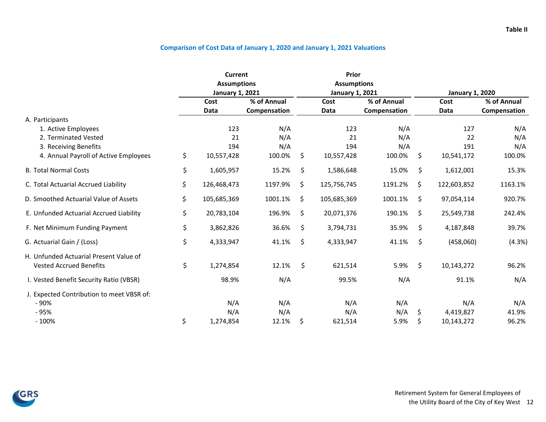## **Comparison of Cost Data of January 1, 2020 and January 1, 2021 Valuations**

|                                                                          | <b>Current</b> |                    |                                       | Prior |                                              |              |    |                                |              |  |
|--------------------------------------------------------------------------|----------------|--------------------|---------------------------------------|-------|----------------------------------------------|--------------|----|--------------------------------|--------------|--|
|                                                                          |                | <b>Assumptions</b> |                                       |       | <b>Assumptions</b><br><b>January 1, 2021</b> |              |    |                                |              |  |
|                                                                          |                | Cost               | <b>January 1, 2021</b><br>% of Annual |       | Cost                                         | % of Annual  |    | <b>January 1, 2020</b><br>Cost | % of Annual  |  |
|                                                                          |                | Data               | Compensation                          |       | Data                                         | Compensation |    | Data                           | Compensation |  |
| A. Participants                                                          |                |                    |                                       |       |                                              |              |    |                                |              |  |
| 1. Active Employees                                                      |                | 123                | N/A                                   |       | 123                                          | N/A          |    | 127                            | N/A          |  |
| 2. Terminated Vested                                                     |                | 21                 | N/A                                   |       | 21                                           | N/A          |    | 22                             | N/A          |  |
| 3. Receiving Benefits                                                    |                | 194                | N/A                                   |       | 194                                          | N/A          |    | 191                            | N/A          |  |
| 4. Annual Payroll of Active Employees                                    | \$             | 10,557,428         | 100.0%                                | \$    | 10,557,428                                   | 100.0%       | \$ | 10,541,172                     | 100.0%       |  |
| <b>B. Total Normal Costs</b>                                             | \$             | 1,605,957          | 15.2%                                 | \$    | 1,586,648                                    | 15.0%        | \$ | 1,612,001                      | 15.3%        |  |
| C. Total Actuarial Accrued Liability                                     | \$             | 126,468,473        | 1197.9%                               | \$    | 125,756,745                                  | 1191.2%      | \$ | 122,603,852                    | 1163.1%      |  |
| D. Smoothed Actuarial Value of Assets                                    | \$             | 105,685,369        | 1001.1%                               | \$    | 105,685,369                                  | 1001.1%      | \$ | 97,054,114                     | 920.7%       |  |
| E. Unfunded Actuarial Accrued Liability                                  | \$             | 20,783,104         | 196.9%                                | \$    | 20,071,376                                   | 190.1%       | \$ | 25,549,738                     | 242.4%       |  |
| F. Net Minimum Funding Payment                                           | \$             | 3,862,826          | 36.6%                                 | \$    | 3,794,731                                    | 35.9%        | \$ | 4,187,848                      | 39.7%        |  |
| G. Actuarial Gain / (Loss)                                               | \$             | 4,333,947          | 41.1%                                 | \$    | 4,333,947                                    | 41.1%        | \$ | (458,060)                      | (4.3%)       |  |
| H. Unfunded Actuarial Present Value of<br><b>Vested Accrued Benefits</b> | \$             | 1,274,854          | 12.1%                                 | \$    | 621,514                                      | 5.9%         | Ŝ. | 10,143,272                     | 96.2%        |  |
| I. Vested Benefit Security Ratio (VBSR)                                  |                | 98.9%              | N/A                                   |       | 99.5%                                        | N/A          |    | 91.1%                          | N/A          |  |
| J. Expected Contribution to meet VBSR of:                                |                |                    |                                       |       |                                              |              |    |                                |              |  |
| - 90%                                                                    |                | N/A                | N/A                                   |       | N/A                                          | N/A          |    | N/A                            | N/A          |  |
| $-95%$                                                                   |                | N/A                | N/A                                   |       | N/A                                          | N/A          | \$ | 4,419,827                      | 41.9%        |  |
| $-100%$                                                                  | \$             | 1,274,854          | 12.1%                                 | \$    | 621,514                                      | 5.9%         | \$ | 10,143,272                     | 96.2%        |  |

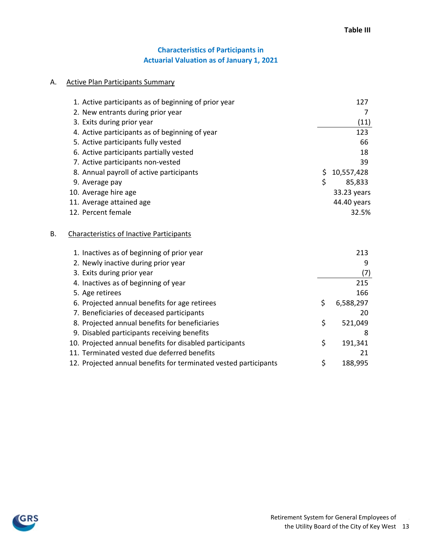# **Actuarial Valuation as of January 1, 2021 Characteristics of Participants in**

## A. Active Plan Participants Summary

|    | 1. Active participants as of beginning of prior year             | 127              |
|----|------------------------------------------------------------------|------------------|
|    | 2. New entrants during prior year                                | 7                |
|    | 3. Exits during prior year                                       | (11)             |
|    | 4. Active participants as of beginning of year                   | 123              |
|    | 5. Active participants fully vested                              | 66               |
|    | 6. Active participants partially vested                          | 18               |
|    | 7. Active participants non-vested                                | 39               |
|    | 8. Annual payroll of active participants                         | \$<br>10,557,428 |
|    | 9. Average pay                                                   | \$<br>85,833     |
|    | 10. Average hire age                                             | 33.23 years      |
|    | 11. Average attained age                                         | 44.40 years      |
|    | 12. Percent female                                               | 32.5%            |
| В. | <b>Characteristics of Inactive Participants</b>                  |                  |
|    | 1. Inactives as of beginning of prior year                       | 213              |
|    | 2. Newly inactive during prior year                              | 9                |
|    | 3. Exits during prior year                                       | (7)              |
|    | 4. Inactives as of beginning of year                             | 215              |
|    | 5. Age retirees                                                  | 166              |
|    | 6. Projected annual benefits for age retirees                    | \$<br>6,588,297  |
|    | 7. Beneficiaries of deceased participants                        | 20               |
|    | 8. Projected annual benefits for beneficiaries                   | \$<br>521,049    |
|    | 9. Disabled participants receiving benefits                      | 8                |
|    | 10. Projected annual benefits for disabled participants          | \$<br>191,341    |
|    | 11. Terminated vested due deferred benefits                      | 21               |
|    | 12. Projected annual benefits for terminated vested participants | \$<br>188,995    |
|    |                                                                  |                  |

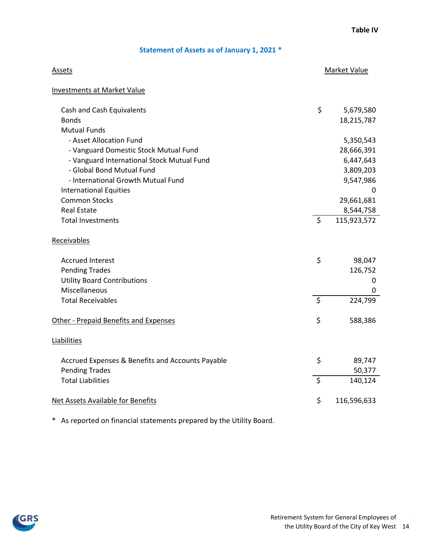# **Statement of Assets as of January 1, 2021 \***

| <b>Assets</b>                                    |         | <b>Market Value</b> |
|--------------------------------------------------|---------|---------------------|
| <b>Investments at Market Value</b>               |         |                     |
| Cash and Cash Equivalents                        | \$      | 5,679,580           |
| <b>Bonds</b>                                     |         | 18,215,787          |
| <b>Mutual Funds</b>                              |         |                     |
| - Asset Allocation Fund                          |         | 5,350,543           |
| - Vanguard Domestic Stock Mutual Fund            |         | 28,666,391          |
| - Vanguard International Stock Mutual Fund       |         | 6,447,643           |
| - Global Bond Mutual Fund                        |         | 3,809,203           |
| - International Growth Mutual Fund               |         | 9,547,986           |
| <b>International Equities</b>                    |         | 0                   |
| <b>Common Stocks</b>                             |         | 29,661,681          |
| <b>Real Estate</b>                               |         | 8,544,758           |
| <b>Total Investments</b>                         | $\zeta$ | 115,923,572         |
| Receivables                                      |         |                     |
| <b>Accrued Interest</b>                          | \$      | 98,047              |
| <b>Pending Trades</b>                            |         | 126,752             |
| <b>Utility Board Contributions</b>               |         | 0                   |
| Miscellaneous                                    |         | 0                   |
| <b>Total Receivables</b>                         | \$      | 224,799             |
| <b>Other - Prepaid Benefits and Expenses</b>     | \$      | 588,386             |
| Liabilities                                      |         |                     |
| Accrued Expenses & Benefits and Accounts Payable | \$      | 89,747              |
| <b>Pending Trades</b>                            |         | 50,377              |
| <b>Total Liabilities</b>                         | \$      | 140,124             |
| <b>Net Assets Available for Benefits</b>         | \$      | 116,596,633         |

\* As reported on financial statements prepared by the Utility Board.

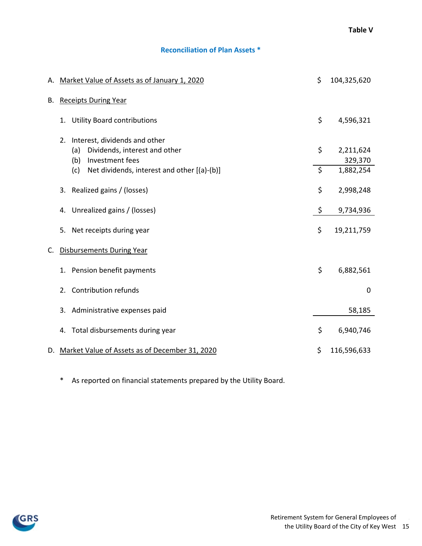## **Reconciliation of Plan Assets \***

|    |    | A. Market Value of Assets as of January 1, 2020    | \$      | 104,325,620 |
|----|----|----------------------------------------------------|---------|-------------|
| В. |    | <b>Receipts During Year</b>                        |         |             |
|    | 1. | <b>Utility Board contributions</b>                 | \$      | 4,596,321   |
|    | 2. | Interest, dividends and other                      |         |             |
|    |    | Dividends, interest and other<br>(a)               | \$      | 2,211,624   |
|    |    | Investment fees<br>(b)                             |         | 329,370     |
|    |    | Net dividends, interest and other [(a)-(b)]<br>(c) | $\zeta$ | 1,882,254   |
|    |    | 3. Realized gains / (losses)                       | \$      | 2,998,248   |
|    | 4. | Unrealized gains / (losses)                        | $\zeta$ | 9,734,936   |
|    |    | 5. Net receipts during year                        | \$      | 19,211,759  |
| C. |    | <b>Disbursements During Year</b>                   |         |             |
|    | 1. | Pension benefit payments                           | \$      | 6,882,561   |
|    | 2. | Contribution refunds                               |         | $\mathbf 0$ |
|    | 3. | Administrative expenses paid                       |         | 58,185      |
|    | 4. | Total disbursements during year                    | \$      | 6,940,746   |
|    |    | D. Market Value of Assets as of December 31, 2020  | \$      | 116,596,633 |

\* As reported on financial statements prepared by the Utility Board.

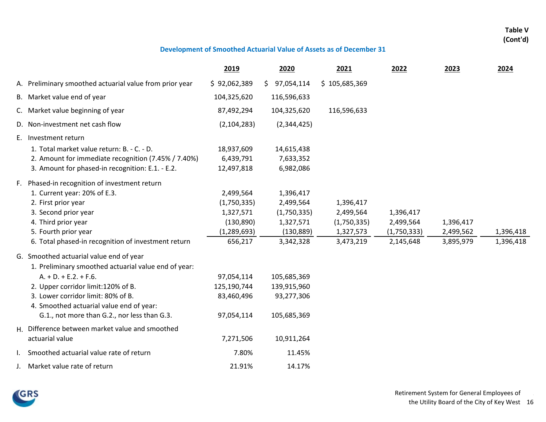**Table V (Cont'd)**

## **Development of Smoothed Actuarial Value of Assets as of December 31**

|                                                         | 2019          | 2020         | 2021          | 2022        | 2023      | 2024      |
|---------------------------------------------------------|---------------|--------------|---------------|-------------|-----------|-----------|
| A. Preliminary smoothed actuarial value from prior year | \$92,062,389  | \$97,054,114 | \$105,685,369 |             |           |           |
| B. Market value end of year                             | 104,325,620   | 116,596,633  |               |             |           |           |
| C. Market value beginning of year                       | 87,492,294    | 104,325,620  | 116,596,633   |             |           |           |
| D. Non-investment net cash flow                         | (2, 104, 283) | (2,344,425)  |               |             |           |           |
| E. Investment return                                    |               |              |               |             |           |           |
| 1. Total market value return: B. - C. - D.              | 18,937,609    | 14,615,438   |               |             |           |           |
| 2. Amount for immediate recognition (7.45% / 7.40%)     | 6,439,791     | 7,633,352    |               |             |           |           |
| 3. Amount for phased-in recognition: E.1. - E.2.        | 12,497,818    | 6,982,086    |               |             |           |           |
| F. Phased-in recognition of investment return           |               |              |               |             |           |           |
| 1. Current year: 20% of E.3.                            | 2,499,564     | 1,396,417    |               |             |           |           |
| 2. First prior year                                     | (1,750,335)   | 2,499,564    | 1,396,417     |             |           |           |
| 3. Second prior year                                    | 1,327,571     | (1,750,335)  | 2,499,564     | 1,396,417   |           |           |
| 4. Third prior year                                     | (130, 890)    | 1,327,571    | (1,750,335)   | 2,499,564   | 1,396,417 |           |
| 5. Fourth prior year                                    | (1, 289, 693) | (130, 889)   | 1,327,573     | (1,750,333) | 2,499,562 | 1,396,418 |
| 6. Total phased-in recognition of investment return     | 656,217       | 3,342,328    | 3,473,219     | 2,145,648   | 3,895,979 | 1,396,418 |
| G. Smoothed actuarial value end of year                 |               |              |               |             |           |           |
| 1. Preliminary smoothed actuarial value end of year:    |               |              |               |             |           |           |
| $A. + D. + E.2. + F.6.$                                 | 97,054,114    | 105,685,369  |               |             |           |           |
| 2. Upper corridor limit:120% of B.                      | 125,190,744   | 139,915,960  |               |             |           |           |
| 3. Lower corridor limit: 80% of B.                      | 83,460,496    | 93,277,306   |               |             |           |           |
| 4. Smoothed actuarial value end of year:                |               |              |               |             |           |           |
| G.1., not more than G.2., nor less than G.3.            | 97,054,114    | 105,685,369  |               |             |           |           |
| H. Difference between market value and smoothed         |               |              |               |             |           |           |
| actuarial value                                         | 7,271,506     | 10,911,264   |               |             |           |           |
| Smoothed actuarial value rate of return                 | 7.80%         | 11.45%       |               |             |           |           |
| J. Market value rate of return                          | 21.91%        | 14.17%       |               |             |           |           |

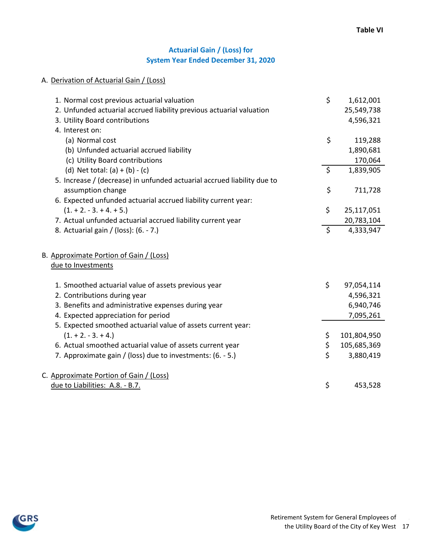# **System Year Ended December 31, 2020 Actuarial Gain / (Loss) for**

# A. Derivation of Actuarial Gain / (Loss)

| 1. Normal cost previous actuarial valuation                             | \$      | 1,612,001   |
|-------------------------------------------------------------------------|---------|-------------|
| 2. Unfunded actuarial accrued liability previous actuarial valuation    |         | 25,549,738  |
| 3. Utility Board contributions                                          |         | 4,596,321   |
| 4. Interest on:                                                         |         |             |
| (a) Normal cost                                                         | \$      | 119,288     |
| (b) Unfunded actuarial accrued liability                                |         | 1,890,681   |
| (c) Utility Board contributions                                         |         | 170,064     |
| (d) Net total: $(a) + (b) - (c)$                                        | \$      | 1,839,905   |
| 5. Increase / (decrease) in unfunded actuarial accrued liability due to |         |             |
| assumption change                                                       | \$      | 711,728     |
| 6. Expected unfunded actuarial accrued liability current year:          |         |             |
| $(1. + 2. - 3. + 4. + 5.)$                                              | \$      | 25,117,051  |
| 7. Actual unfunded actuarial accrued liability current year             |         | 20,783,104  |
| 8. Actuarial gain / (loss): (6. - 7.)                                   | $\zeta$ | 4,333,947   |
|                                                                         |         |             |
| B. Approximate Portion of Gain / (Loss)                                 |         |             |
| due to Investments                                                      |         |             |
| 1. Smoothed actuarial value of assets previous year                     | \$      | 97,054,114  |
| 2. Contributions during year                                            |         | 4,596,321   |
| 3. Benefits and administrative expenses during year                     |         | 6,940,746   |
| 4. Expected appreciation for period                                     |         | 7,095,261   |
| 5. Expected smoothed actuarial value of assets current year:            |         |             |
| $(1. + 2. - 3. + 4.)$                                                   | \$      | 101,804,950 |
| 6. Actual smoothed actuarial value of assets current year               | \$      | 105,685,369 |
| 7. Approximate gain / (loss) due to investments: (6. - 5.)              | \$      | 3,880,419   |
|                                                                         |         |             |
| C. Approximate Portion of Gain / (Loss)                                 |         |             |
| due to Liabilities: A.8. - B.7.                                         | \$      | 453,528     |

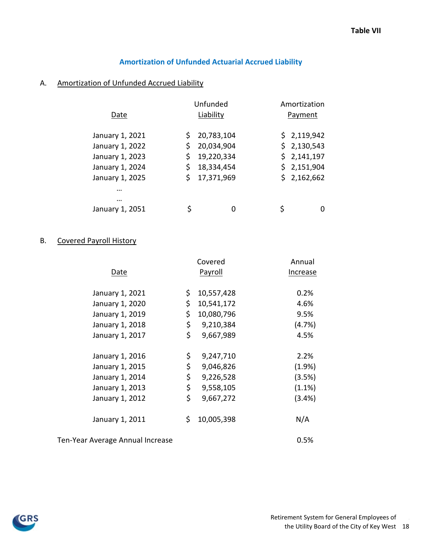## **Amortization of Unfunded Actuarial Accrued Liability**

# A. Amortization of Unfunded Accrued Liability

|                 |    | Unfunded   | Amortization |
|-----------------|----|------------|--------------|
| Date            |    | Liability  | Payment      |
| January 1, 2021 |    | 20,783,104 | \$2,119,942  |
|                 |    |            |              |
| January 1, 2022 |    | 20,034,904 | \$2,130,543  |
| January 1, 2023 | \$ | 19,220,334 | \$2,141,197  |
| January 1, 2024 |    | 18,334,454 | \$2,151,904  |
| January 1, 2025 | Ś  | 17,371,969 | \$2,162,662  |
|                 |    |            |              |
| $\cdots$        |    |            |              |
| January 1, 2051 |    |            |              |

## B. Covered Payroll History

|                                  | Covered          | Annual          |
|----------------------------------|------------------|-----------------|
| Date                             | Payroll          | <b>Increase</b> |
|                                  |                  |                 |
| January 1, 2021                  | \$<br>10,557,428 | 0.2%            |
| January 1, 2020                  | \$<br>10,541,172 | 4.6%            |
| January 1, 2019                  | \$<br>10,080,796 | 9.5%            |
| January 1, 2018                  | \$<br>9,210,384  | (4.7%)          |
| January 1, 2017                  | \$<br>9,667,989  | 4.5%            |
|                                  |                  |                 |
| January 1, 2016                  | \$<br>9,247,710  | 2.2%            |
| January 1, 2015                  | \$<br>9,046,826  | $(1.9\%)$       |
| January 1, 2014                  | \$<br>9,226,528  | (3.5%)          |
| January 1, 2013                  | \$<br>9,558,105  | $(1.1\%)$       |
| January 1, 2012                  | \$<br>9,667,272  | $(3.4\%)$       |
|                                  |                  |                 |
| January 1, 2011                  | \$<br>10,005,398 | N/A             |
|                                  |                  |                 |
| Ten-Year Average Annual Increase |                  | 0.5%            |
|                                  |                  |                 |

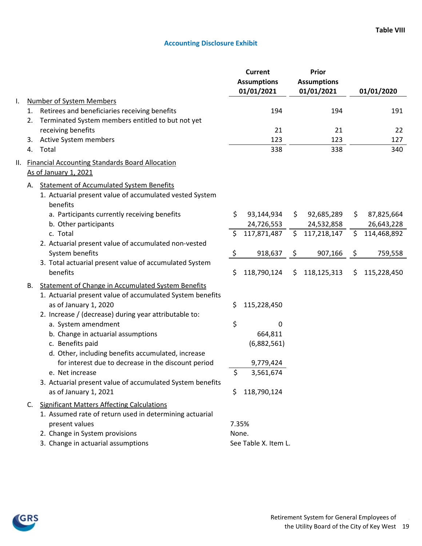|     |          |                                                                                                                                       |       | <b>Current</b><br><b>Assumptions</b> | Prior<br><b>Assumptions</b> |                   |
|-----|----------|---------------------------------------------------------------------------------------------------------------------------------------|-------|--------------------------------------|-----------------------------|-------------------|
|     |          |                                                                                                                                       |       | 01/01/2021                           | 01/01/2021                  | 01/01/2020        |
| I.  | 1.<br>2. | <b>Number of System Members</b><br>Retirees and beneficiaries receiving benefits<br>Terminated System members entitled to but not yet |       | 194                                  | 194                         | 191               |
|     |          | receiving benefits                                                                                                                    |       | 21                                   | 21                          | 22                |
|     | 3.       | <b>Active System members</b>                                                                                                          |       | 123                                  | 123                         | 127               |
|     | 4.       | Total                                                                                                                                 |       | 338                                  | 338                         | 340               |
| II. |          | <b>Financial Accounting Standards Board Allocation</b><br>As of January 1, 2021                                                       |       |                                      |                             |                   |
|     | А.       | <b>Statement of Accumulated System Benefits</b><br>1. Actuarial present value of accumulated vested System<br>benefits                |       |                                      |                             |                   |
|     |          | a. Participants currently receiving benefits                                                                                          | \$    | 93,144,934                           | \$<br>92,685,289            | \$<br>87,825,664  |
|     |          | b. Other participants                                                                                                                 |       | 24,726,553                           | 24,532,858                  | 26,643,228        |
|     |          | c. Total                                                                                                                              | Ś.    | 117,871,487                          | \$117,218,147               | \$<br>114,468,892 |
|     |          | 2. Actuarial present value of accumulated non-vested                                                                                  |       |                                      |                             |                   |
|     |          | System benefits                                                                                                                       | \$    | 918,637                              | \$<br>907,166               | \$<br>759,558     |
|     |          | 3. Total actuarial present value of accumulated System<br>benefits                                                                    | \$    | 118,790,124                          | \$<br>118,125,313           | \$<br>115,228,450 |
|     | В.       | <b>Statement of Change in Accumulated System Benefits</b>                                                                             |       |                                      |                             |                   |
|     |          | 1. Actuarial present value of accumulated System benefits                                                                             |       |                                      |                             |                   |
|     |          | as of January 1, 2020                                                                                                                 | \$    | 115,228,450                          |                             |                   |
|     |          | 2. Increase / (decrease) during year attributable to:                                                                                 |       |                                      |                             |                   |
|     |          | a. System amendment                                                                                                                   | \$    | 0                                    |                             |                   |
|     |          | b. Change in actuarial assumptions                                                                                                    |       | 664,811                              |                             |                   |
|     |          | c. Benefits paid                                                                                                                      |       | (6,882,561)                          |                             |                   |
|     |          | d. Other, including benefits accumulated, increase                                                                                    |       |                                      |                             |                   |
|     |          | for interest due to decrease in the discount period                                                                                   |       | 9,779,424                            |                             |                   |
|     |          | e. Net increase                                                                                                                       | \$    | 3,561,674                            |                             |                   |
|     |          | 3. Actuarial present value of accumulated System benefits<br>as of January 1, 2021                                                    | \$    | 118,790,124                          |                             |                   |
|     | C.       | <b>Significant Matters Affecting Calculations</b><br>1. Assumed rate of return used in determining actuarial                          |       |                                      |                             |                   |
|     |          | present values                                                                                                                        |       | 7.35%                                |                             |                   |
|     |          | 2. Change in System provisions                                                                                                        | None. |                                      |                             |                   |
|     |          | 3. Change in actuarial assumptions                                                                                                    |       | See Table X. Item L.                 |                             |                   |

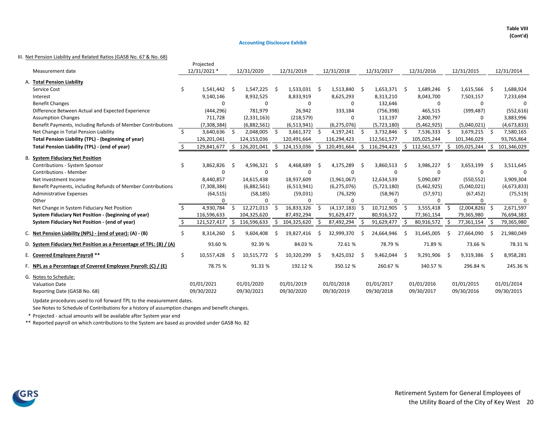**Table VIII (Cont'd)**

|                                                                    |              | Projected    |    |               |              |                |      |                |    |                |      |              |    |                  |      |             |
|--------------------------------------------------------------------|--------------|--------------|----|---------------|--------------|----------------|------|----------------|----|----------------|------|--------------|----|------------------|------|-------------|
| Measurement date                                                   |              | 12/31/2021 * |    | 12/31/2020    |              | 12/31/2019     |      | 12/31/2018     |    | 12/31/2017     |      | 12/31/2016   |    | 12/31/2015       |      | 12/31/2014  |
| A. Total Pension Liability                                         |              |              |    |               |              |                |      |                |    |                |      |              |    |                  |      |             |
| <b>Service Cost</b>                                                | Ś            | 1,541,442    | Ŝ. | 1,547,225     | -\$          | $1,533,031$ \$ |      | 1,513,840      | Ŝ. | $1,653,371$ \$ |      | 1,689,246    | -Ŝ | 1,615,566        | - \$ | 1,688,924   |
| Interest                                                           |              | 9,140,146    |    | 8,932,525     |              | 8,833,919      |      | 8,625,293      |    | 8,313,210      |      | 8,043,700    |    | 7,503,157        |      | 7,233,694   |
| <b>Benefit Changes</b>                                             |              | $\Omega$     |    | $\Omega$      |              | $\Omega$       |      | $\Omega$       |    | 132,646        |      | $\mathbf{0}$ |    | $\Omega$         |      | -C          |
| Difference Between Actual and Expected Experience                  |              | (444, 296)   |    | 781,979       |              | 26,942         |      | 333,184        |    | (756, 398)     |      | 465,515      |    | (399, 487)       |      | (552, 616)  |
| <b>Assumption Changes</b>                                          |              | 711,728      |    | (2,331,163)   |              | (218, 579)     |      | $\Omega$       |    | 113,197        |      | 2,800,797    |    |                  |      | 3,883,996   |
| Benefit Payments, including Refunds of Member Contributions        |              | (7,308,384)  |    | (6,882,561)   |              | (6,513,941)    |      | (6, 275, 076)  |    | (5, 723, 180)  |      | (5,462,925)  |    | (5,040,021)      |      | (4,673,833) |
| Net Change in Total Pension Liability                              | $\mathsf{S}$ | 3,640,636    | S. | 2,048,005     | \$           | $3,661,372$ \$ |      | 4,197,241      | S. | 3,732,846      | - \$ | 7,536,333    | S. | $3,679,215$ \$   |      | 7,580,165   |
| <b>Total Pension Liability (TPL) - (beginning of year)</b>         |              | 126,201,041  |    | 124,153,036   |              | 120,491,664    |      | 116,294,423    |    | 112,561,577    |      | 105,025,244  |    | 101,346,029      |      | 93,765,864  |
| Total Pension Liability (TPL) - (end of year)                      |              | 129,841,677  |    | \$126,201,041 | Ś.           | 124,153,036    |      | 120,491,664    |    | 116,294,423    | Ś.   | 112,561,577  | Ś. | 105,025,244      | Ś.   | 101,346,029 |
| <b>B. System Fiduciary Net Position</b>                            |              |              |    |               |              |                |      |                |    |                |      |              |    |                  |      |             |
| <b>Contributions - System Sponsor</b>                              | \$           | 3,862,826    | -Ś | 4,596,321     | -Ś           | 4,468,689      | - \$ | 4,175,289      | Š. | 3,860,513      | - \$ | 3,986,227    | -S | 3,653,199        | Ŝ.   | 3,511,645   |
| <b>Contributions - Member</b>                                      |              | $\Omega$     |    | 0             |              | $\Omega$       |      | $\Omega$       |    | $\Omega$       |      | 0            |    |                  |      |             |
| Net Investment Income                                              |              | 8,440,857    |    | 14,615,438    |              | 18,937,609     |      | (1,961,067)    |    | 12,634,539     |      | 5,090,087    |    | (550, 552)       |      | 3,909,304   |
| Benefit Payments, including Refunds of Member Contributions        |              | (7,308,384)  |    | (6,882,561)   |              | (6, 513, 941)  |      | (6, 275, 076)  |    | (5, 723, 180)  |      | (5,462,925)  |    | (5,040,021)      |      | (4,673,833) |
| <b>Administrative Expenses</b>                                     |              | (64, 515)    |    | (58, 185)     |              | (59,031)       |      | (76, 329)      |    | (58, 967)      |      | (57, 971)    |    | (67, 452)        |      | (75, 519)   |
| Other                                                              |              | $\Omega$     |    | <sup>0</sup>  |              | $\Omega$       |      | <sup>0</sup>   |    | $\Omega$       |      | $\Omega$     |    | $\Omega$         |      |             |
| Net Change in System Fiduciary Net Position                        | Ŝ.           | 4,930,784    | Ŝ. | 12,271,013    | $\mathsf{S}$ | 16,833,326     |      | (4, 137, 183)  | S. | 10,712,905     | - \$ | 3,555,418    | Ŝ. | $(2,004,826)$ \$ |      | 2,671,597   |
| <b>System Fiduciary Net Position - (beginning of year)</b>         |              | 116,596,633  |    | 104,325,620   |              | 87,492,294     |      | 91,629,477     |    | 80,916,572     |      | 77,361,154   |    | 79,365,980       |      | 76,694,383  |
| <b>System Fiduciary Net Position - (end of year)</b>               |              | 121,527,417  |    | \$116,596,633 | \$           | 104,325,620    |      | 87,492,294     |    | 91,629,477     | Ŝ.   | 80,916,572   | \$ | 77,361,154       | \$   | 79,365,980  |
| C. Net Pension Liability (NPL) - (end of year): (A) - (B)          | Ś            | 8,314,260    | -S | 9,604,408     | -S           | 19,827,416     |      | 32,999,370     | -S | 24,664,946     | -Ŝ   | 31,645,005   | -S | 27,664,090       |      | 21,980,049  |
| D. System Fiduciary Net Position as a Percentage of TPL: (B) / (A) |              | 93.60 %      |    | 92.39 %       |              | 84.03 %        |      | 72.61 %        |    | 78.79 %        |      | 71.89 %      |    | 73.66 %          |      | 78.31 %     |
| E. Covered Employee Payroll **                                     | \$           | 10,557,428   | S. | 10,515,772    | \$           | 10,320,299     | - \$ | $9,425,032$ \$ |    | $9,462,044$ \$ |      | 9,291,906    | -S | 9,319,386        | -\$  | 8,958,281   |
| F. NPL as a Percentage of Covered Employee Payroll: (C) / (E)      |              | 78.75 %      |    | 91.33 %       |              | 192.12 %       |      | 350.12 %       |    | 260.67 %       |      | 340.57 %     |    | 296.84 %         |      | 245.36 %    |
| G. Notes to Schedule:<br><b>Valuation Date</b>                     |              | 01/01/2021   |    | 01/01/2020    |              | 01/01/2019     |      | 01/01/2018     |    | 01/01/2017     |      | 01/01/2016   |    | 01/01/2015       |      | 01/01/2014  |
| Reporting Date (GASB No. 68)                                       |              | 09/30/2022   |    | 09/30/2021    |              | 09/30/2020     |      | 09/30/2019     |    | 09/30/2018     |      | 09/30/2017   |    | 09/30/2016       |      | 09/30/2015  |
|                                                                    |              |              |    |               |              |                |      |                |    |                |      |              |    |                  |      |             |

\* Projected - actual amounts will be available after System year end

\*\* Reported payroll on which contributions to the System are based as provided under GASB No. 82



See Notes to Schedule of Contributions for a history of assumption changes and benefit changes.

#### **Accounting Disclosure Exhibit**

# III. Net Pension Liability and Related Ratios (GASB No. 67 & No. 68)

Update procedures used to roll forward TPL to the measurement dates.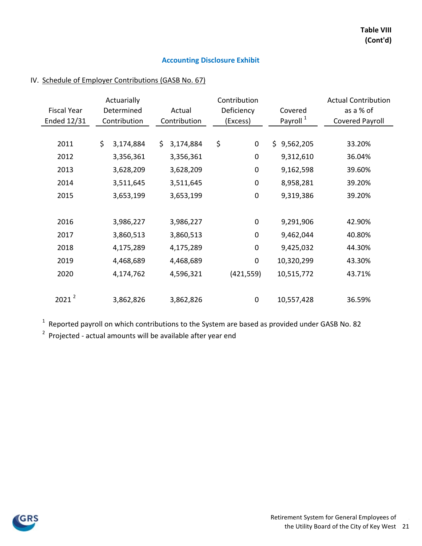|                    | Actuarially     |                 | Contribution     |                      | <b>Actual Contribution</b> |
|--------------------|-----------------|-----------------|------------------|----------------------|----------------------------|
| <b>Fiscal Year</b> | Determined      | Actual          | Deficiency       | Covered              | as a % of                  |
| <b>Ended 12/31</b> | Contribution    | Contribution    | (Excess)         | Payroll <sup>1</sup> | <b>Covered Payroll</b>     |
|                    |                 |                 |                  |                      |                            |
| 2011               | \$<br>3,174,884 | Ŝ.<br>3,174,884 | \$<br>0          | \$.<br>9,562,205     | 33.20%                     |
| 2012               | 3,356,361       | 3,356,361       | 0                | 9,312,610            | 36.04%                     |
| 2013               | 3,628,209       | 3,628,209       | 0                | 9,162,598            | 39.60%                     |
| 2014               | 3,511,645       | 3,511,645       | $\pmb{0}$        | 8,958,281            | 39.20%                     |
| 2015               | 3,653,199       | 3,653,199       | 0                | 9,319,386            | 39.20%                     |
|                    |                 |                 |                  |                      |                            |
| 2016               | 3,986,227       | 3,986,227       | $\pmb{0}$        | 9,291,906            | 42.90%                     |
| 2017               | 3,860,513       | 3,860,513       | 0                | 9,462,044            | 40.80%                     |
| 2018               | 4,175,289       | 4,175,289       | 0                | 9,425,032            | 44.30%                     |
| 2019               | 4,468,689       | 4,468,689       | $\boldsymbol{0}$ | 10,320,299           | 43.30%                     |
| 2020               | 4,174,762       | 4,596,321       | (421, 559)       | 10,515,772           | 43.71%                     |
|                    |                 |                 |                  |                      |                            |
| $2021^2$           | 3,862,826       | 3,862,826       | $\pmb{0}$        | 10,557,428           | 36.59%                     |

# IV. Schedule of Employer Contributions (GASB No. 67)

 $1$  Reported payroll on which contributions to the System are based as provided under GASB No. 82

 $2$  Projected - actual amounts will be available after year end

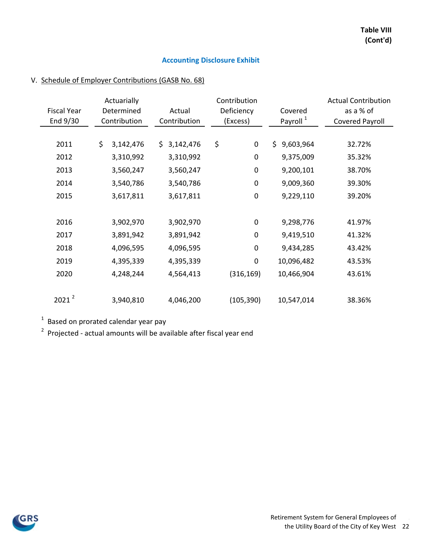|                    | Actuarially     |                 | Contribution     |                      | <b>Actual Contribution</b> |
|--------------------|-----------------|-----------------|------------------|----------------------|----------------------------|
| <b>Fiscal Year</b> | Determined      | Actual          | Deficiency       | Covered              | as a % of                  |
| End 9/30           | Contribution    | Contribution    | (Excess)         | Payroll <sup>1</sup> | <b>Covered Payroll</b>     |
|                    |                 |                 |                  |                      |                            |
| 2011               | \$<br>3,142,476 | \$<br>3,142,476 | \$<br>0          | \$.<br>9,603,964     | 32.72%                     |
| 2012               | 3,310,992       | 3,310,992       | $\pmb{0}$        | 9,375,009            | 35.32%                     |
| 2013               | 3,560,247       | 3,560,247       | $\boldsymbol{0}$ | 9,200,101            | 38.70%                     |
| 2014               | 3,540,786       | 3,540,786       | $\mathbf 0$      | 9,009,360            | 39.30%                     |
| 2015               | 3,617,811       | 3,617,811       | $\boldsymbol{0}$ | 9,229,110            | 39.20%                     |
|                    |                 |                 |                  |                      |                            |
| 2016               | 3,902,970       | 3,902,970       | $\mathbf 0$      | 9,298,776            | 41.97%                     |
| 2017               | 3,891,942       | 3,891,942       | $\mathbf 0$      | 9,419,510            | 41.32%                     |
| 2018               | 4,096,595       | 4,096,595       | $\boldsymbol{0}$ | 9,434,285            | 43.42%                     |
| 2019               | 4,395,339       | 4,395,339       | $\boldsymbol{0}$ | 10,096,482           | 43.53%                     |
| 2020               | 4,248,244       | 4,564,413       | (316, 169)       | 10,466,904           | 43.61%                     |
|                    |                 |                 |                  |                      |                            |
| $2021^2$           | 3,940,810       | 4,046,200       | (105, 390)       | 10,547,014           | 38.36%                     |

# V. Schedule of Employer Contributions (GASB No. 68)

 $<sup>1</sup>$  Based on prorated calendar year pay</sup>

 $2$  Projected - actual amounts will be available after fiscal year end

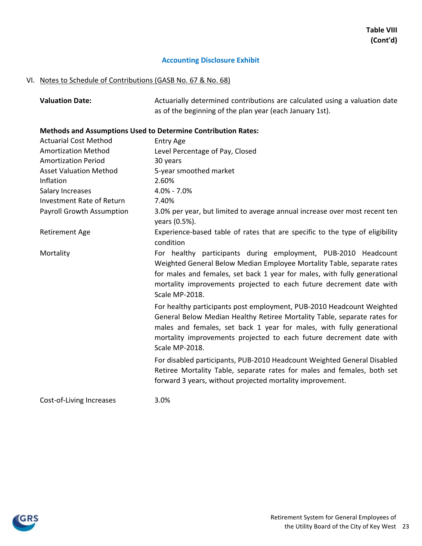## VI. Notes to Schedule of Contributions (GASB No. 67 & No. 68)

| <b>Valuation Date:</b> | Actuarially determined contributions are calculated using a valuation date |
|------------------------|----------------------------------------------------------------------------|
|                        | as of the beginning of the plan year (each January 1st).                   |

## **Methods and Assumptions Used to Determine Contribution Rates:**

| <b>Actuarial Cost Method</b>     | <b>Entry Age</b>                                                                                                                                                                                                                                                                                                      |
|----------------------------------|-----------------------------------------------------------------------------------------------------------------------------------------------------------------------------------------------------------------------------------------------------------------------------------------------------------------------|
| <b>Amortization Method</b>       | Level Percentage of Pay, Closed                                                                                                                                                                                                                                                                                       |
| <b>Amortization Period</b>       | 30 years                                                                                                                                                                                                                                                                                                              |
| <b>Asset Valuation Method</b>    | 5-year smoothed market                                                                                                                                                                                                                                                                                                |
| Inflation                        | 2.60%                                                                                                                                                                                                                                                                                                                 |
| Salary Increases                 | $4.0\% - 7.0\%$                                                                                                                                                                                                                                                                                                       |
| <b>Investment Rate of Return</b> | 7.40%                                                                                                                                                                                                                                                                                                                 |
| Payroll Growth Assumption        | 3.0% per year, but limited to average annual increase over most recent ten<br>years (0.5%).                                                                                                                                                                                                                           |
| <b>Retirement Age</b>            | Experience-based table of rates that are specific to the type of eligibility<br>condition                                                                                                                                                                                                                             |
| Mortality                        | For healthy participants during employment, PUB-2010 Headcount<br>Weighted General Below Median Employee Mortality Table, separate rates<br>for males and females, set back 1 year for males, with fully generational<br>mortality improvements projected to each future decrement date with<br><b>Scale MP-2018.</b> |
|                                  | For healthy participants post employment, PUB-2010 Headcount Weighted<br>General Below Median Healthy Retiree Mortality Table, separate rates for<br>males and females, set back 1 year for males, with fully generational<br>mortality improvements projected to each future decrement date with<br>Scale MP-2018.   |
|                                  | For disabled participants, PUB-2010 Headcount Weighted General Disabled<br>Retiree Mortality Table, separate rates for males and females, both set<br>forward 3 years, without projected mortality improvement.                                                                                                       |
| Cost-of-Living Increases         | 3.0%                                                                                                                                                                                                                                                                                                                  |

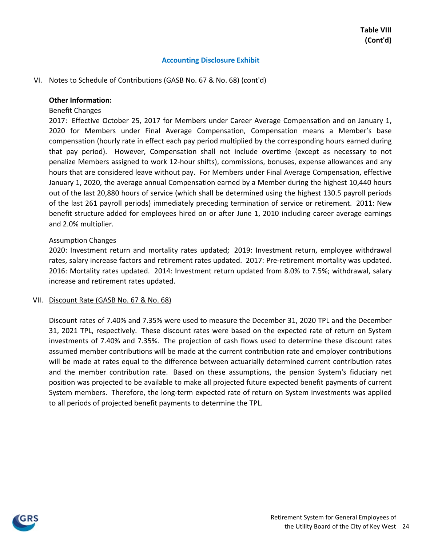#### VI. Notes to Schedule of Contributions (GASB No. 67 & No. 68) (cont'd)

#### **Other Information:**

#### Benefit Changes

2017: Effective October 25, 2017 for Members under Career Average Compensation and on January 1, 2020 for Members under Final Average Compensation, Compensation means a Member's base compensation (hourly rate in effect each pay period multiplied by the corresponding hours earned during that pay period). However, Compensation shall not include overtime (except as necessary to not penalize Members assigned to work 12-hour shifts), commissions, bonuses, expense allowances and any hours that are considered leave without pay. For Members under Final Average Compensation, effective January 1, 2020, the average annual Compensation earned by a Member during the highest 10,440 hours out of the last 20,880 hours of service (which shall be determined using the highest 130.5 payroll periods of the last 261 payroll periods) immediately preceding termination of service or retirement. 2011: New benefit structure added for employees hired on or after June 1, 2010 including career average earnings and 2.0% multiplier.

#### Assumption Changes

2020: Investment return and mortality rates updated; 2019: Investment return, employee withdrawal rates, salary increase factors and retirement rates updated. 2017: Pre-retirement mortality was updated. 2016: Mortality rates updated. 2014: Investment return updated from 8.0% to 7.5%; withdrawal, salary increase and retirement rates updated.

#### VII. Discount Rate (GASB No. 67 & No. 68)

Discount rates of 7.40% and 7.35% were used to measure the December 31, 2020 TPL and the December 31, 2021 TPL, respectively. These discount rates were based on the expected rate of return on System investments of 7.40% and 7.35%. The projection of cash flows used to determine these discount rates assumed member contributions will be made at the current contribution rate and employer contributions will be made at rates equal to the difference between actuarially determined current contribution rates and the member contribution rate. Based on these assumptions, the pension System's fiduciary net position was projected to be available to make all projected future expected benefit payments of current System members. Therefore, the long-term expected rate of return on System investments was applied to all periods of projected benefit payments to determine the TPL.

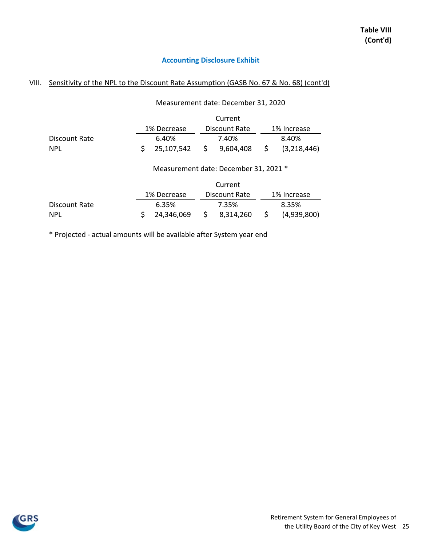#### VIII. Sensitivity of the NPL to the Discount Rate Assumption (GASB No. 67 & No. 68) (cont'd)

|               | Measurement date: December 31, 2020   |             |    |               |       |             |  |  |  |  |
|---------------|---------------------------------------|-------------|----|---------------|-------|-------------|--|--|--|--|
|               | Current                               |             |    |               |       |             |  |  |  |  |
|               |                                       | 1% Decrease |    | Discount Rate |       | 1% Increase |  |  |  |  |
| Discount Rate |                                       | 6.40%       |    | 7.40%         | 8.40% |             |  |  |  |  |
| <b>NPL</b>    | \$<br>25,107,542                      |             | \$ | 9,604,408     |       | (3,218,446) |  |  |  |  |
|               | Measurement date: December 31, 2021 * |             |    |               |       |             |  |  |  |  |
|               |                                       |             |    | Current       |       |             |  |  |  |  |
|               |                                       | 1% Decrease |    | Discount Rate |       | 1% Increase |  |  |  |  |
| Discount Rate |                                       | 6.35%       |    | 7.35%         | 8.35% |             |  |  |  |  |
| <b>NPL</b>    |                                       | 24,346,069  | \$ | 8,314,260     | \$    | (4,939,800) |  |  |  |  |

\* Projected - actual amounts will be available after System year end

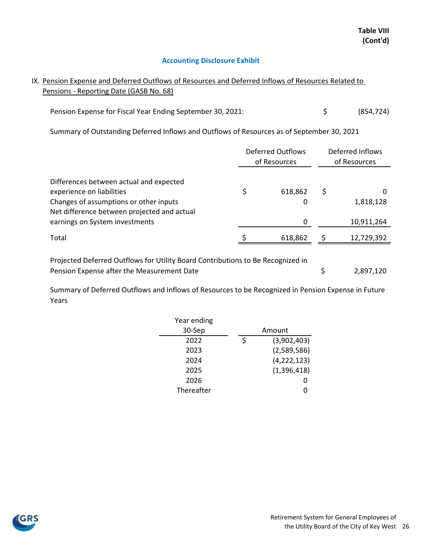# IX. Pension Expense and Deferred Outflows of Resources and Deferred Inflows of Resources Related to Pensions - Reporting Date (GASB No. 68)

Pension Expense for Fiscal Year Ending September 30, 2021: <br>
§ (854,724)

Summary of Outstanding Deferred Inflows and Outflows of Resources as of September 30, 2021

|                                                                                                                                                               | Deferred Outflows<br>of Resources |              |   | Deferred Inflows<br>of Resources |  |  |  |
|---------------------------------------------------------------------------------------------------------------------------------------------------------------|-----------------------------------|--------------|---|----------------------------------|--|--|--|
| Differences between actual and expected<br>experience on liabilities<br>Changes of assumptions or other inputs<br>Net difference between projected and actual |                                   | 618,862<br>O | Ş | 1,818,128                        |  |  |  |
| earnings on System investments                                                                                                                                |                                   | O            |   | 10,911,264                       |  |  |  |
| Total                                                                                                                                                         |                                   | 618,862      |   | 12,729,392                       |  |  |  |

 \$ 2,897,120 Projected Deferred Outflows for Utility Board Contributions to Be Recognized in Pension Expense after the Measurement Date

Summary of Deferred Outflows and Inflows of Resources to be Recognized in Pension Expense in Future Years

| Year ending |   |               |
|-------------|---|---------------|
| 30-Sep      |   | Amount        |
| 2022        | Ś | (3,902,403)   |
| 2023        |   | (2,589,586)   |
| 2024        |   | (4, 222, 123) |
| 2025        |   | (1,396,418)   |
| 2026        |   |               |
| Thereafter  |   |               |
|             |   |               |

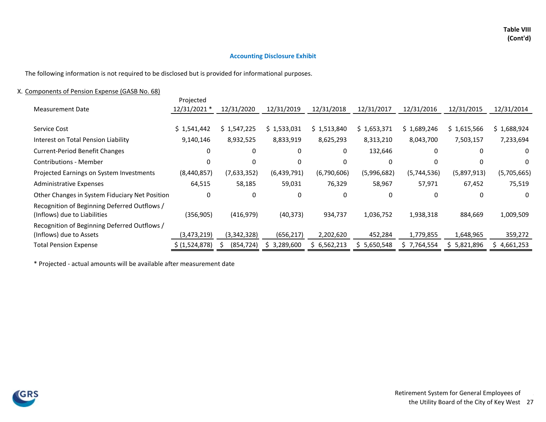The following information is not required to be disclosed but is provided for informational purposes.

## X. Components of Pension Expense (GASB No. 68)

| 12/31/2014  |
|-------------|
|             |
| \$1,688,924 |
| 7,233,694   |
| 0           |
| 0           |
| (5,705,665) |
| 75,519      |
| 0           |
| 1,009,509   |
|             |
| 359,272     |
| 4,661,253   |
|             |

\* Projected - actual amounts will be available after measurement date

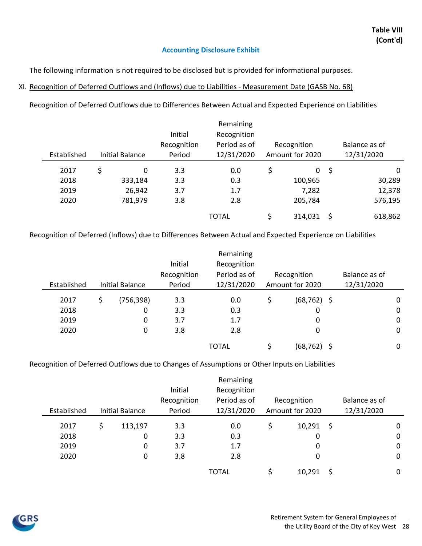The following information is not required to be disclosed but is provided for informational purposes.

## XI. Recognition of Deferred Outflows and (Inflows) due to Liabilities - Measurement Date (GASB No. 68)

Recognition of Deferred Outflows due to Differences Between Actual and Expected Experience on Liabilities

| Established                  | <b>Initial Balance</b>                  | Initial<br>Recognition<br>Period | Remaining<br>Recognition<br>Period as of<br>12/31/2020 |    | Recognition<br>Amount for 2020   |    | Balance as of<br>12/31/2020      |
|------------------------------|-----------------------------------------|----------------------------------|--------------------------------------------------------|----|----------------------------------|----|----------------------------------|
| 2017<br>2018<br>2019<br>2020 | \$<br>0<br>333,184<br>26,942<br>781,979 | 3.3<br>3.3<br>3.7<br>3.8         | 0.0<br>0.3<br>1.7<br>2.8                               | \$ | 0<br>100,965<br>7,282<br>205,784 | \$ | 0<br>30,289<br>12,378<br>576,195 |
|                              |                                         |                                  | <b>TOTAL</b>                                           | Ś  | 314,031                          | Ś  | 618,862                          |

Recognition of Deferred (Inflows) due to Differences Between Actual and Expected Experience on Liabilities

|             |                 | Initial<br>Recognition | Remaining<br>Recognition<br>Period as of | Recognition       | Balance as of |             |
|-------------|-----------------|------------------------|------------------------------------------|-------------------|---------------|-------------|
| Established | Initial Balance | Period                 | 12/31/2020                               | Amount for 2020   | 12/31/2020    |             |
| 2017        | \$<br>(756,398) | 3.3                    | 0.0                                      | \$<br>(68,762) \$ |               | 0           |
| 2018        | 0               | 3.3                    | 0.3                                      | 0                 |               | 0           |
| 2019        | 0               | 3.7                    | 1.7                                      | 0                 |               | $\mathbf 0$ |
| 2020        | 0               | 3.8                    | 2.8                                      | 0                 |               | $\mathbf 0$ |
|             |                 |                        | TOTAL                                    | (68,762)          |               | 0           |

Recognition of Deferred Outflows due to Changes of Assumptions or Other Inputs on Liabilities

|             |                 | Initial               | Remaining<br>Recognition   |                                |    |                             |   |
|-------------|-----------------|-----------------------|----------------------------|--------------------------------|----|-----------------------------|---|
| Established | Initial Balance | Recognition<br>Period | Period as of<br>12/31/2020 | Recognition<br>Amount for 2020 |    | Balance as of<br>12/31/2020 |   |
|             |                 |                       |                            |                                |    |                             |   |
| 2017        | \$<br>113,197   | 3.3                   | 0.0                        | 10,291                         | \$ |                             | 0 |
| 2018        | 0               | 3.3                   | 0.3                        | 0                              |    |                             | 0 |
| 2019        | 0               | 3.7                   | 1.7                        | 0                              |    |                             | 0 |
| 2020        | 0               | 3.8                   | 2.8                        | 0                              |    |                             | 0 |
|             |                 |                       | <b>TOTAL</b>               | 10,291                         | Ś  |                             | 0 |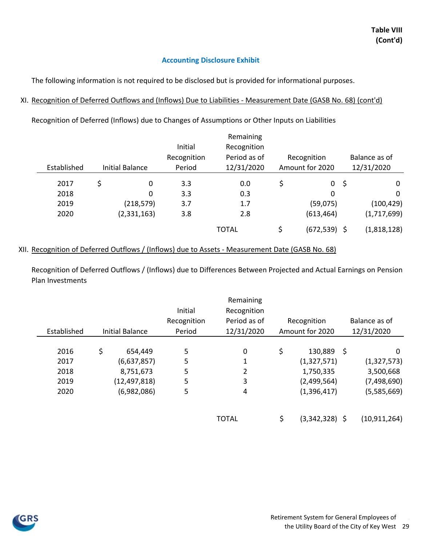The following information is not required to be disclosed but is provided for informational purposes.

#### XI. Recognition of Deferred Outflows and (Inflows) Due to Liabilities - Measurement Date (GASB No. 68) (cont'd)

Recognition of Deferred (Inflows) due to Changes of Assumptions or Other Inputs on Liabilities

|             |                        |             | Remaining    |                       |               |
|-------------|------------------------|-------------|--------------|-----------------------|---------------|
|             |                        | Initial     | Recognition  |                       |               |
|             |                        | Recognition | Period as of | Recognition           | Balance as of |
| Established | <b>Initial Balance</b> | Period      | 12/31/2020   | Amount for 2020       | 12/31/2020    |
|             |                        |             |              |                       |               |
| 2017        | \$<br>0                | 3.3         | 0.0          | \$<br>0               | \$<br>0       |
| 2018        | 0                      | 3.3         | 0.3          | 0                     | 0             |
| 2019        | (218, 579)             | 3.7         | 1.7          | (59,075)              | (100, 429)    |
| 2020        | (2,331,163)            | 3.8         | 2.8          | (613, 464)            | (1,717,699)   |
|             |                        |             | <b>TOTAL</b> | \$<br>$(672, 539)$ \$ | (1,818,128)   |

#### XII. Recognition of Deferred Outflows / (Inflows) due to Assets - Measurement Date (GASB No. 68)

Recognition of Deferred Outflows / (Inflows) due to Differences Between Projected and Actual Earnings on Pension Plan Investments

|             |                 |             | Remaining      |                 |    |               |
|-------------|-----------------|-------------|----------------|-----------------|----|---------------|
|             |                 | Initial     | Recognition    |                 |    |               |
|             |                 | Recognition | Period as of   | Recognition     |    | Balance as of |
| Established | Initial Balance | Period      | 12/31/2020     | Amount for 2020 |    | 12/31/2020    |
|             |                 |             |                |                 |    |               |
| 2016        | \$<br>654,449   | 5           | $\mathbf 0$    | \$<br>130,889   | -S | 0             |
| 2017        | (6,637,857)     | 5           | 1              | (1,327,571)     |    | (1,327,573)   |
| 2018        | 8,751,673       | 5           | $\overline{2}$ | 1,750,335       |    | 3,500,668     |
| 2019        | (12, 497, 818)  | 5           | 3              | (2,499,564)     |    | (7,498,690)   |
| 2020        | (6,982,086)     | 5           | 4              | (1,396,417)     |    | (5,585,669)   |
|             |                 |             |                |                 |    |               |
|             |                 |             |                |                 |    |               |

TOTAL \$ (3,342,328) \$ (10,911,264)

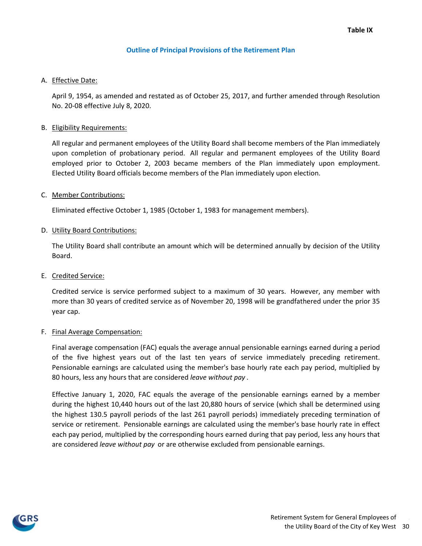#### A. Effective Date:

April 9, 1954, as amended and restated as of October 25, 2017, and further amended through Resolution No. 20-08 effective July 8, 2020.

#### B. Eligibility Requirements:

All regular and permanent employees of the Utility Board shall become members of the Plan immediately upon completion of probationary period. All regular and permanent employees of the Utility Board employed prior to October 2, 2003 became members of the Plan immediately upon employment. Elected Utility Board officials become members of the Plan immediately upon election.

#### C. Member Contributions:

Eliminated effective October 1, 1985 (October 1, 1983 for management members).

#### D. Utility Board Contributions:

The Utility Board shall contribute an amount which will be determined annually by decision of the Utility Board.

#### E. Credited Service:

Credited service is service performed subject to a maximum of 30 years. However, any member with more than 30 years of credited service as of November 20, 1998 will be grandfathered under the prior 35 year cap.

#### F. Final Average Compensation:

Final average compensation (FAC) equals the average annual pensionable earnings earned during a period of the five highest years out of the last ten years of service immediately preceding retirement. Pensionable earnings are calculated using the member's base hourly rate each pay period, multiplied by 80 hours, less any hours that are considered *leave without pay* .

Effective January 1, 2020, FAC equals the average of the pensionable earnings earned by a member during the highest 10,440 hours out of the last 20,880 hours of service (which shall be determined using the highest 130.5 payroll periods of the last 261 payroll periods) immediately preceding termination of service or retirement. Pensionable earnings are calculated using the member's base hourly rate in effect each pay period, multiplied by the corresponding hours earned during that pay period, less any hours that are considered *leave without pay* or are otherwise excluded from pensionable earnings.

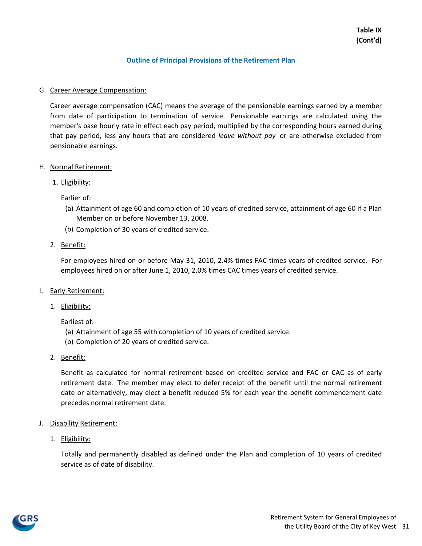#### G. Career Average Compensation:

Career average compensation (CAC) means the average of the pensionable earnings earned by a member from date of participation to termination of service. Pensionable earnings are calculated using the member's base hourly rate in effect each pay period, multiplied by the corresponding hours earned during that pay period, less any hours that are considered *leave without pay* or are otherwise excluded from pensionable earnings.

#### H. Normal Retirement:

1. Eligibility:

Earlier of:

- (a) Attainment of age 60 and completion of 10 years of credited service, attainment of age 60 if a Plan Member on or before November 13, 2008.
- (b) Completion of 30 years of credited service.
- 2. Benefit:

For employees hired on or before May 31, 2010, 2.4% times FAC times years of credited service. For employees hired on or after June 1, 2010, 2.0% times CAC times years of credited service.

- I. Early Retirement:
	- 1. Eligibility:

Earliest of:

- (a) Attainment of age 55 with completion of 10 years of credited service.
- (b) Completion of 20 years of credited service.
- 2. Benefit:

Benefit as calculated for normal retirement based on credited service and FAC or CAC as of early retirement date. The member may elect to defer receipt of the benefit until the normal retirement date or alternatively, may elect a benefit reduced 5% for each year the benefit commencement date precedes normal retirement date.

- J. Disability Retirement:
	- 1. Eligibility:

Totally and permanently disabled as defined under the Plan and completion of 10 years of credited service as of date of disability.

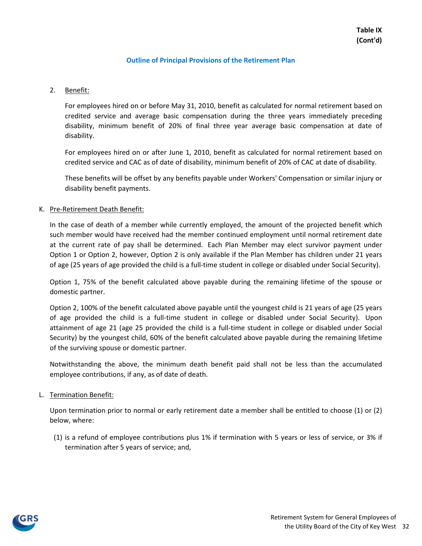#### 2. Benefit:

For employees hired on or before May 31, 2010, benefit as calculated for normal retirement based on credited service and average basic compensation during the three years immediately preceding disability, minimum benefit of 20% of final three year average basic compensation at date of disability.

For employees hired on or after June 1, 2010, benefit as calculated for normal retirement based on credited service and CAC as of date of disability, minimum benefit of 20% of CAC at date of disability.

These benefits will be offset by any benefits payable under Workers' Compensation or similar injury or disability benefit payments.

#### K. Pre-Retirement Death Benefit:

In the case of death of a member while currently employed, the amount of the projected benefit which such member would have received had the member continued employment until normal retirement date at the current rate of pay shall be determined. Each Plan Member may elect survivor payment under Option 1 or Option 2, however, Option 2 is only available if the Plan Member has children under 21 years of age (25 years of age provided the child is a full-time student in college or disabled under Social Security).

Option 1, 75% of the benefit calculated above payable during the remaining lifetime of the spouse or domestic partner.

Option 2, 100% of the benefit calculated above payable until the youngest child is 21 years of age (25 years of age provided the child is a full-time student in college or disabled under Social Security). Upon attainment of age 21 (age 25 provided the child is a full-time student in college or disabled under Social Security) by the youngest child, 60% of the benefit calculated above payable during the remaining lifetime of the surviving spouse or domestic partner.

Notwithstanding the above, the minimum death benefit paid shall not be less than the accumulated employee contributions, if any, as of date of death.

#### L. Termination Benefit:

Upon termination prior to normal or early retirement date a member shall be entitled to choose (1) or (2) below, where:

(1) is a refund of employee contributions plus 1% if termination with 5 years or less of service, or 3% if termination after 5 years of service; and,



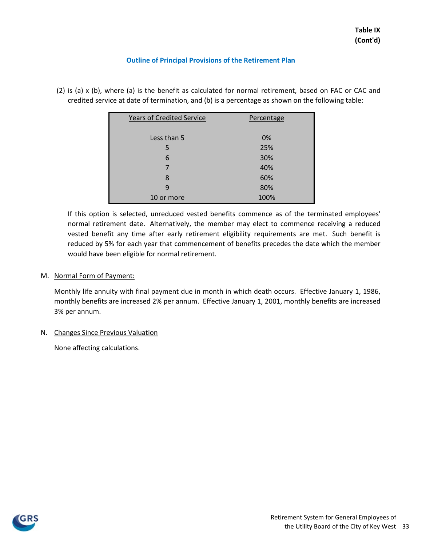| $(2)$ is (a) x (b), where (a) is the benefit as calculated for normal retirement, based on FAC or CAC and |
|-----------------------------------------------------------------------------------------------------------|
| credited service at date of termination, and (b) is a percentage as shown on the following table:         |

| <b>Years of Credited Service</b> | Percentage |
|----------------------------------|------------|
|                                  |            |
| Less than 5                      | 0%         |
| 5                                | 25%        |
| 6                                | 30%        |
| 7                                | 40%        |
| 8                                | 60%        |
| ٩                                | 80%        |
| 10 or more                       | 100%       |

If this option is selected, unreduced vested benefits commence as of the terminated employees' normal retirement date. Alternatively, the member may elect to commence receiving a reduced vested benefit any time after early retirement eligibility requirements are met. Such benefit is reduced by 5% for each year that commencement of benefits precedes the date which the member would have been eligible for normal retirement.

#### M. Normal Form of Payment:

Monthly life annuity with final payment due in month in which death occurs. Effective January 1, 1986, monthly benefits are increased 2% per annum. Effective January 1, 2001, monthly benefits are increased 3% per annum.

#### N. Changes Since Previous Valuation

None affecting calculations.

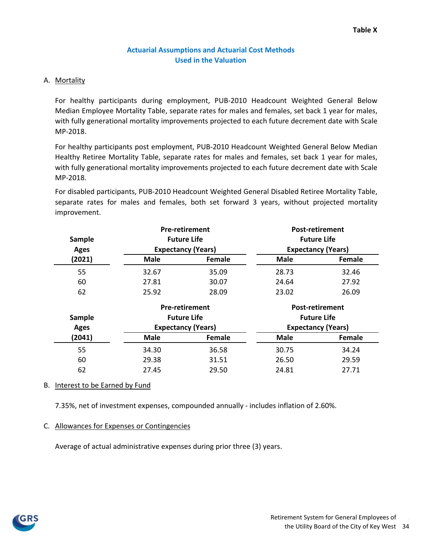## **Actuarial Assumptions and Actuarial Cost Methods Used in the Valuation**

## A. Mortality

For healthy participants during employment, PUB-2010 Headcount Weighted General Below Median Employee Mortality Table, separate rates for males and females, set back 1 year for males, with fully generational mortality improvements projected to each future decrement date with Scale MP-2018.

For healthy participants post employment, PUB-2010 Headcount Weighted General Below Median Healthy Retiree Mortality Table, separate rates for males and females, set back 1 year for males, with fully generational mortality improvements projected to each future decrement date with Scale MP-2018.

For disabled participants, PUB-2010 Headcount Weighted General Disabled Retiree Mortality Table, separate rates for males and females, both set forward 3 years, without projected mortality improvement.

|             |                           | <b>Pre-retirement</b>     |                           | <b>Post-retirement</b> |
|-------------|---------------------------|---------------------------|---------------------------|------------------------|
| Sample      |                           | <b>Future Life</b>        |                           | <b>Future Life</b>     |
| <b>Ages</b> |                           | <b>Expectancy (Years)</b> | <b>Expectancy (Years)</b> |                        |
| (2021)      | <b>Male</b>               | Female                    | <b>Male</b>               | Female                 |
| 55          | 32.67                     | 35.09                     | 28.73                     | 32.46                  |
| 60          | 27.81                     | 30.07                     | 24.64                     | 27.92                  |
| 62          | 25.92                     | 28.09                     | 23.02                     | 26.09                  |
|             |                           | <b>Pre-retirement</b>     |                           | <b>Post-retirement</b> |
| Sample      |                           | <b>Future Life</b>        |                           | <b>Future Life</b>     |
| <b>Ages</b> | <b>Expectancy (Years)</b> |                           | <b>Expectancy (Years)</b> |                        |
| (2041)      | <b>Male</b>               | Female                    | <b>Male</b>               | Female                 |
| 55          | 34.30                     | 36.58                     | 30.75                     | 34.24                  |
| 60          | 29.38                     | 31.51                     | 26.50                     | 29.59                  |
| 62          | 27.45                     | 29.50                     | 24.81                     | 27.71                  |

#### B. Interest to be Earned by Fund

7.35%, net of investment expenses, compounded annually - includes inflation of 2.60%.

## C. Allowances for Expenses or Contingencies

Average of actual administrative expenses during prior three (3) years.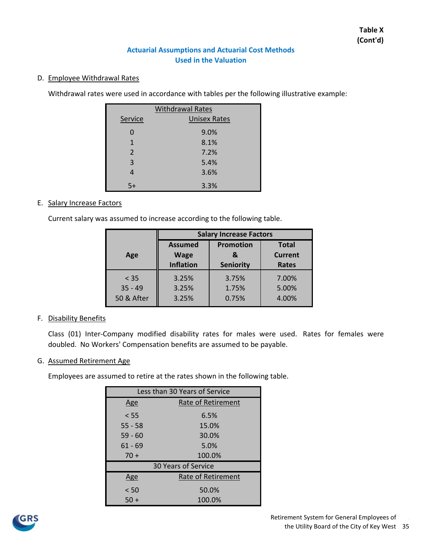## **Used in the Valuation Actuarial Assumptions and Actuarial Cost Methods**

## D. Employee Withdrawal Rates

Withdrawal rates were used in accordance with tables per the following illustrative example:

| <b>Withdrawal Rates</b> |                     |  |  |  |
|-------------------------|---------------------|--|--|--|
| Service                 | <b>Unisex Rates</b> |  |  |  |
| 0                       | 9.0%                |  |  |  |
| $\mathbf{1}$            | 8.1%                |  |  |  |
| $\overline{2}$          | 7.2%                |  |  |  |
| 3                       | 5.4%                |  |  |  |
| 4                       | 3.6%                |  |  |  |
| $5+$                    | 3.3%                |  |  |  |

#### E. Salary Increase Factors

Current salary was assumed to increase according to the following table.

|            |                                    | <b>Salary Increase Factors</b> |                |  |  |  |  |
|------------|------------------------------------|--------------------------------|----------------|--|--|--|--|
|            | <b>Promotion</b><br><b>Assumed</b> |                                | <b>Total</b>   |  |  |  |  |
| Age        | <b>Wage</b>                        | &                              | <b>Current</b> |  |  |  |  |
|            | <b>Inflation</b>                   | <b>Seniority</b>               | <b>Rates</b>   |  |  |  |  |
| $<$ 35     | 3.25%                              | 3.75%                          | 7.00%          |  |  |  |  |
| $35 - 49$  | 3.25%                              | 1.75%                          | 5.00%          |  |  |  |  |
| 50 & After | 3.25%                              | 0.75%                          | 4.00%          |  |  |  |  |

## F. Disability Benefits

Class (01) Inter-Company modified disability rates for males were used. Rates for females were doubled. No Workers' Compensation benefits are assumed to be payable.

#### G. Assumed Retirement Age

Employees are assumed to retire at the rates shown in the following table.

| Less than 30 Years of Service |                     |  |  |  |  |
|-------------------------------|---------------------|--|--|--|--|
| <u>Age</u>                    | Rate of Retirement  |  |  |  |  |
| < 55                          | 6.5%                |  |  |  |  |
| $55 - 58$                     | 15.0%               |  |  |  |  |
| $59 - 60$                     | 30.0%               |  |  |  |  |
| $61 - 69$                     | 5.0%                |  |  |  |  |
| $70+$                         | 100.0%              |  |  |  |  |
|                               | 30 Years of Service |  |  |  |  |
| Age                           | Rate of Retirement  |  |  |  |  |
| < 50                          | 50.0%               |  |  |  |  |
| 50 +                          | 100.0%              |  |  |  |  |

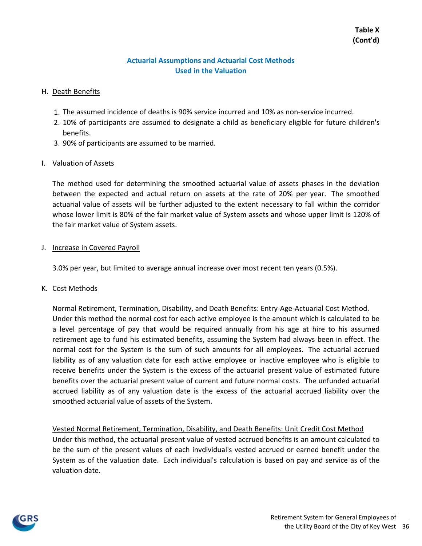## **Actuarial Assumptions and Actuarial Cost Methods Used in the Valuation**

## H. Death Benefits

- 1. The assumed incidence of deaths is 90% service incurred and 10% as non-service incurred.
- 2. 10% of participants are assumed to designate a child as beneficiary eligible for future children's benefits.
- 3. 90% of participants are assumed to be married.

## I. Valuation of Assets

The method used for determining the smoothed actuarial value of assets phases in the deviation between the expected and actual return on assets at the rate of 20% per year. The smoothed actuarial value of assets will be further adjusted to the extent necessary to fall within the corridor whose lower limit is 80% of the fair market value of System assets and whose upper limit is 120% of the fair market value of System assets.

## J. Increase in Covered Payroll

3.0% per year, but limited to average annual increase over most recent ten years (0.5%).

## K. Cost Methods

Normal Retirement, Termination, Disability, and Death Benefits: Entry-Age-Actuarial Cost Method. Under this method the normal cost for each active employee is the amount which is calculated to be a level percentage of pay that would be required annually from his age at hire to his assumed retirement age to fund his estimated benefits, assuming the System had always been in effect. The normal cost for the System is the sum of such amounts for all employees. The actuarial accrued liability as of any valuation date for each active employee or inactive employee who is eligible to receive benefits under the System is the excess of the actuarial present value of estimated future benefits over the actuarial present value of current and future normal costs. The unfunded actuarial accrued liability as of any valuation date is the excess of the actuarial accrued liability over the smoothed actuarial value of assets of the System.

Vested Normal Retirement, Termination, Disability, and Death Benefits: Unit Credit Cost Method Under this method, the actuarial present value of vested accrued benefits is an amount calculated to be the sum of the present values of each invdividual's vested accrued or earned benefit under the System as of the valuation date. Each individual's calculation is based on pay and service as of the valuation date.



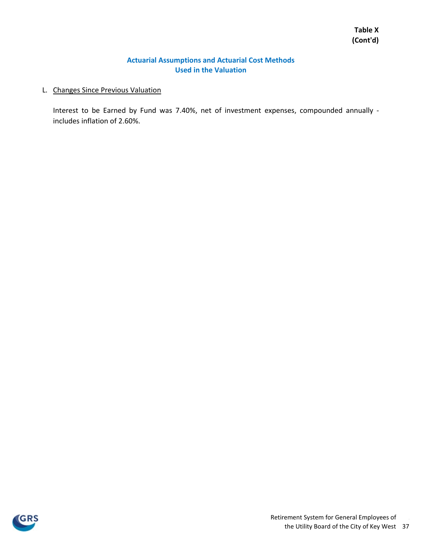## **Actuarial Assumptions and Actuarial Cost Methods Used in the Valuation**

## L. Changes Since Previous Valuation

Interest to be Earned by Fund was 7.40%, net of investment expenses, compounded annually includes inflation of 2.60%.

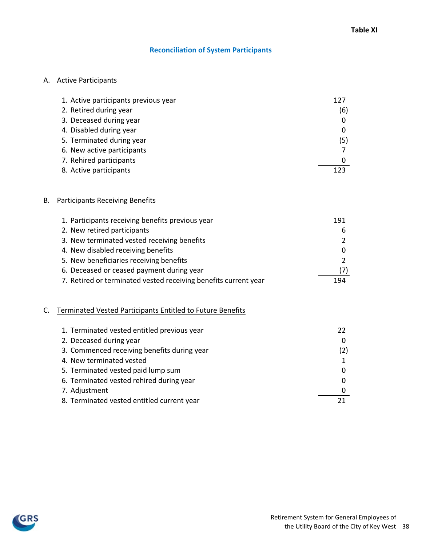# **Reconciliation of System Participants**

## A. Active Participants

| 1. Active participants previous year | 127 |
|--------------------------------------|-----|
| 2. Retired during year               | (6) |
| 3. Deceased during year              |     |
| 4. Disabled during year              |     |
| 5. Terminated during year            | (5) |
| 6. New active participants           |     |
| 7. Rehired participants              |     |
| 8. Active participants               | 123 |

## B. Participants Receiving Benefits

| 1. Participants receiving benefits previous year                | 191 |
|-----------------------------------------------------------------|-----|
| 2. New retired participants                                     | 6   |
| 3. New terminated vested receiving benefits                     |     |
| 4. New disabled receiving benefits                              |     |
| 5. New beneficiaries receiving benefits                         |     |
| 6. Deceased or ceased payment during year                       |     |
| 7. Retired or terminated vested receiving benefits current year | 194 |
|                                                                 |     |
| C. Terminated Vested Participants Entitled to Future Benefits   |     |
|                                                                 |     |

| 1. Terminated vested entitled previous year |     |
|---------------------------------------------|-----|
| 2. Deceased during year                     | 0   |
| 3. Commenced receiving benefits during year | (2) |
| 4. New terminated vested                    |     |
| 5. Terminated vested paid lump sum          | 0   |
| 6. Terminated vested rehired during year    | 0   |
| 7. Adjustment                               | ŋ   |
| 8. Terminated vested entitled current year  |     |

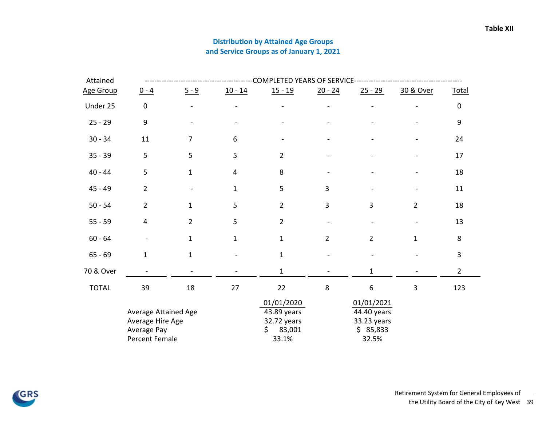# **and Service Groups as of January 1, 2021 Distribution by Attained Age Groups**

| Attained     |                                                                           | -COMPLETED YEARS OF SERVICE- |                         |                                                                     |                |                                                               |                |                |  |  |  |  |
|--------------|---------------------------------------------------------------------------|------------------------------|-------------------------|---------------------------------------------------------------------|----------------|---------------------------------------------------------------|----------------|----------------|--|--|--|--|
| Age Group    | $0 - 4$                                                                   | $5 - 9$                      | $10 - 14$               | $15 - 19$                                                           | $20 - 24$      | $25 - 29$                                                     | 30 & Over      | Total          |  |  |  |  |
| Under 25     | $\pmb{0}$                                                                 |                              |                         |                                                                     |                |                                                               |                | $\pmb{0}$      |  |  |  |  |
| $25 - 29$    | 9                                                                         |                              |                         |                                                                     |                |                                                               |                | 9              |  |  |  |  |
| $30 - 34$    | 11                                                                        | 7                            | 6                       |                                                                     |                |                                                               |                | 24             |  |  |  |  |
| $35 - 39$    | 5                                                                         | 5                            | 5                       | $\overline{2}$                                                      |                |                                                               |                | 17             |  |  |  |  |
| $40 - 44$    | 5                                                                         | $\mathbf{1}$                 | $\overline{\mathbf{4}}$ | 8                                                                   |                |                                                               |                | 18             |  |  |  |  |
| 45 - 49      | $\overline{2}$                                                            |                              | $\mathbf{1}$            | 5                                                                   | 3              |                                                               |                | 11             |  |  |  |  |
| $50 - 54$    | $\overline{2}$                                                            | $\mathbf{1}$                 | 5                       | $\overline{2}$                                                      | 3              | 3                                                             | $\overline{2}$ | 18             |  |  |  |  |
| $55 - 59$    | 4                                                                         | $\overline{2}$               | 5                       | $\overline{2}$                                                      |                |                                                               |                | 13             |  |  |  |  |
| $60 - 64$    |                                                                           | $\mathbf 1$                  | $\mathbf{1}$            | $\mathbf{1}$                                                        | $\overline{2}$ | $\overline{2}$                                                | $\mathbf{1}$   | 8              |  |  |  |  |
| $65 - 69$    | $\mathbf{1}$                                                              | $\mathbf 1$                  |                         | $\mathbf{1}$                                                        |                |                                                               |                | 3              |  |  |  |  |
| 70 & Over    |                                                                           |                              |                         | $\mathbf{1}$                                                        |                | $\mathbf{1}$                                                  |                | $\overline{2}$ |  |  |  |  |
| <b>TOTAL</b> | 39                                                                        | 18                           | 27                      | 22                                                                  | 8              | 6                                                             | 3              | 123            |  |  |  |  |
|              | Average Attained Age<br>Average Hire Age<br>Average Pay<br>Percent Female |                              |                         | 01/01/2020<br>$43.89$ years<br>32.72 years<br>83,001<br>Ś.<br>33.1% |                | 01/01/2021<br>44.40 years<br>33.23 years<br>\$85,833<br>32.5% |                |                |  |  |  |  |

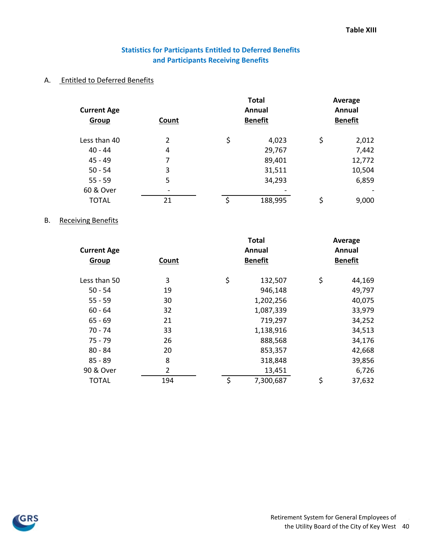## **Statistics for Participants Entitled to Deferred Benefits and Participants Receiving Benefits**

# A. Entitled to Deferred Benefits

| Count                    | <b>Total</b><br>Annual<br><b>Benefit</b> | Average<br>Annual<br><b>Benefit</b> |  |  |  |
|--------------------------|------------------------------------------|-------------------------------------|--|--|--|
| $\overline{2}$           | \$<br>4,023                              | \$<br>2,012                         |  |  |  |
| 4                        | 29,767                                   | 7,442                               |  |  |  |
| 7                        | 89,401                                   | 12,772                              |  |  |  |
| 3                        | 31,511                                   | 10,504                              |  |  |  |
| 5                        | 34,293                                   | 6,859                               |  |  |  |
| $\overline{\phantom{a}}$ |                                          |                                     |  |  |  |
| 21                       | \$<br>188,995                            | \$<br>9,000                         |  |  |  |
|                          |                                          |                                     |  |  |  |

## B. Receiving Benefits

| <b>Current Age</b> |       | <b>Total</b><br>Annual | Average<br>Annual |  |  |  |
|--------------------|-------|------------------------|-------------------|--|--|--|
| Group              | Count | <b>Benefit</b>         | <b>Benefit</b>    |  |  |  |
| Less than 50       | 3     | \$<br>132,507          | \$<br>44,169      |  |  |  |
| $50 - 54$          | 19    | 946,148                | 49,797            |  |  |  |
| $55 - 59$          | 30    | 1,202,256              | 40,075            |  |  |  |
| $60 - 64$          | 32    | 1,087,339              | 33,979            |  |  |  |
| $65 - 69$          | 21    | 719,297                | 34,252            |  |  |  |
| $70 - 74$          | 33    | 1,138,916              | 34,513            |  |  |  |
| $75 - 79$          | 26    | 888,568                | 34,176            |  |  |  |
| $80 - 84$          | 20    | 853,357                | 42,668            |  |  |  |
| $85 - 89$          | 8     | 318,848                | 39,856            |  |  |  |
| 90 & Over          | 2     | 13,451                 | 6,726             |  |  |  |
| <b>TOTAL</b>       | 194   | \$<br>7,300,687        | \$<br>37,632      |  |  |  |

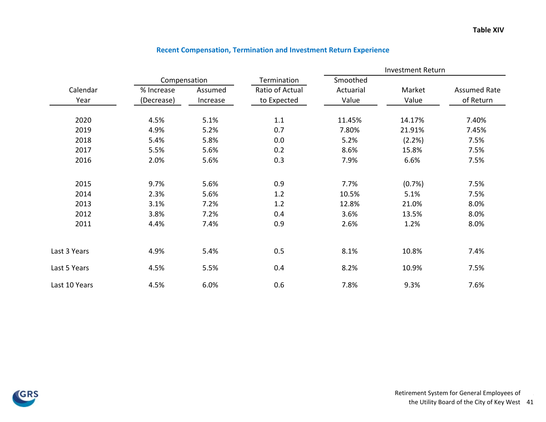|               |              |          |                 |           | <b>Investment Return</b> |                     |
|---------------|--------------|----------|-----------------|-----------|--------------------------|---------------------|
|               | Compensation |          | Termination     | Smoothed  |                          |                     |
| Calendar      | % Increase   | Assumed  | Ratio of Actual | Actuarial | Market                   | <b>Assumed Rate</b> |
| Year          | (Decrease)   | Increase | to Expected     | Value     | Value                    | of Return           |
| 2020          | 4.5%         | 5.1%     | 1.1             | 11.45%    | 14.17%                   | 7.40%               |
| 2019          | 4.9%         | 5.2%     | 0.7             | 7.80%     | 21.91%                   | 7.45%               |
| 2018          | 5.4%         | 5.8%     | 0.0             | 5.2%      | (2.2%)                   | 7.5%                |
| 2017          | 5.5%         | 5.6%     | 0.2             | 8.6%      | 15.8%                    | 7.5%                |
| 2016          | 2.0%         | 5.6%     | 0.3             | 7.9%      | 6.6%                     | 7.5%                |
| 2015          | 9.7%         | 5.6%     | 0.9             | 7.7%      | (0.7%)                   | 7.5%                |
| 2014          | 2.3%         | 5.6%     | 1.2             | 10.5%     | 5.1%                     | 7.5%                |
| 2013          | 3.1%         | 7.2%     | 1.2             | 12.8%     | 21.0%                    | 8.0%                |
| 2012          | 3.8%         | 7.2%     | 0.4             | 3.6%      | 13.5%                    | 8.0%                |
| 2011          | 4.4%         | 7.4%     | 0.9             | 2.6%      | 1.2%                     | 8.0%                |
|               |              |          |                 |           |                          |                     |
| Last 3 Years  | 4.9%         | 5.4%     | 0.5             | 8.1%      | 10.8%                    | 7.4%                |
| Last 5 Years  | 4.5%         | 5.5%     | 0.4             | 8.2%      | 10.9%                    | 7.5%                |
| Last 10 Years | 4.5%         | 6.0%     | 0.6             | 7.8%      | 9.3%                     | 7.6%                |

## **Recent Compensation, Termination and Investment Return Experience**

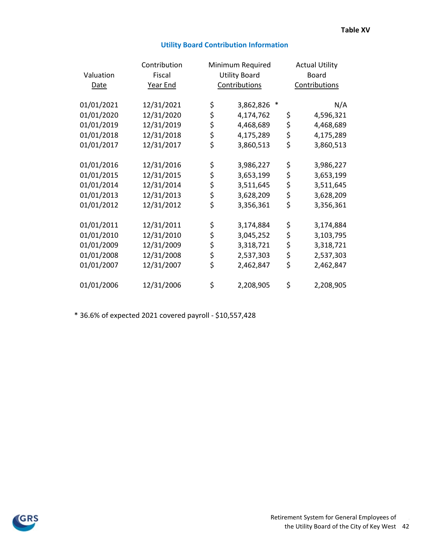## **Utility Board Contribution Information**

|            | Contribution | Minimum Required          | <b>Actual Utility</b> |               |  |  |
|------------|--------------|---------------------------|-----------------------|---------------|--|--|
| Valuation  | Fiscal       | <b>Utility Board</b>      |                       | <b>Board</b>  |  |  |
| Date       | Year End     | Contributions             |                       | Contributions |  |  |
|            |              |                           |                       |               |  |  |
| 01/01/2021 | 12/31/2021   | \$<br>3,862,826<br>$\ast$ |                       | N/A           |  |  |
| 01/01/2020 | 12/31/2020   | \$<br>4,174,762           | \$                    | 4,596,321     |  |  |
| 01/01/2019 | 12/31/2019   | \$<br>4,468,689           | \$                    | 4,468,689     |  |  |
| 01/01/2018 | 12/31/2018   | \$<br>4,175,289           | \$                    | 4,175,289     |  |  |
| 01/01/2017 | 12/31/2017   | \$<br>3,860,513           | \$                    | 3,860,513     |  |  |
|            |              |                           |                       |               |  |  |
| 01/01/2016 | 12/31/2016   | \$<br>3,986,227           | \$                    | 3,986,227     |  |  |
| 01/01/2015 | 12/31/2015   | \$<br>3,653,199           | \$                    | 3,653,199     |  |  |
| 01/01/2014 | 12/31/2014   | \$<br>3,511,645           | \$                    | 3,511,645     |  |  |
| 01/01/2013 | 12/31/2013   | \$<br>3,628,209           | \$                    | 3,628,209     |  |  |
| 01/01/2012 | 12/31/2012   | \$<br>3,356,361           | \$                    | 3,356,361     |  |  |
|            |              |                           |                       |               |  |  |
| 01/01/2011 | 12/31/2011   | \$<br>3,174,884           | \$                    | 3,174,884     |  |  |
| 01/01/2010 | 12/31/2010   | \$<br>3,045,252           | \$                    | 3,103,795     |  |  |
| 01/01/2009 | 12/31/2009   | \$<br>3,318,721           | \$                    | 3,318,721     |  |  |
| 01/01/2008 | 12/31/2008   | \$<br>2,537,303           | \$                    | 2,537,303     |  |  |
| 01/01/2007 | 12/31/2007   | \$<br>2,462,847           | \$                    | 2,462,847     |  |  |
|            |              |                           |                       |               |  |  |
| 01/01/2006 | 12/31/2006   | \$<br>2,208,905           | \$                    | 2,208,905     |  |  |

\* 36.6% of expected 2021 covered payroll - \$10,557,428

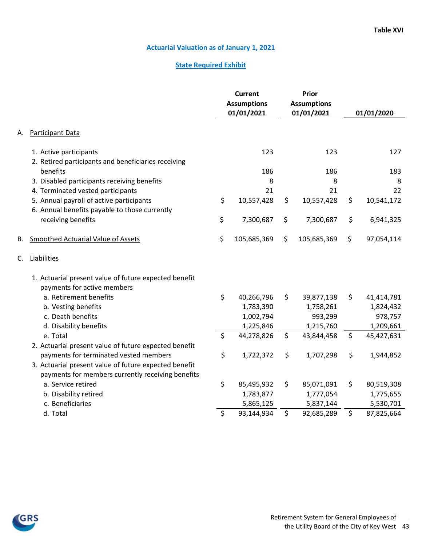## **Actuarial Valuation as of January 1, 2021**

#### **State Required Exhibit**

|    |                                                                                                            |         | <b>Current</b><br><b>Assumptions</b><br>01/01/2021 | Prior<br><b>Assumptions</b><br>01/01/2021 |             | 01/01/2020 |            |
|----|------------------------------------------------------------------------------------------------------------|---------|----------------------------------------------------|-------------------------------------------|-------------|------------|------------|
| А. | Participant Data                                                                                           |         |                                                    |                                           |             |            |            |
|    | 1. Active participants<br>2. Retired participants and beneficiaries receiving                              |         | 123                                                |                                           | 123         |            | 127        |
|    | benefits                                                                                                   |         | 186                                                |                                           | 186         |            | 183        |
|    | 3. Disabled participants receiving benefits                                                                |         | 8                                                  |                                           | 8           |            | 8          |
|    | 4. Terminated vested participants                                                                          |         | 21                                                 |                                           | 21          |            | 22         |
|    | 5. Annual payroll of active participants<br>6. Annual benefits payable to those currently                  | \$      | 10,557,428                                         | \$                                        | 10,557,428  | \$         | 10,541,172 |
|    | receiving benefits                                                                                         | \$      | 7,300,687                                          | \$                                        | 7,300,687   | \$         | 6,941,325  |
| В. | <b>Smoothed Actuarial Value of Assets</b>                                                                  | \$      | 105,685,369                                        | \$                                        | 105,685,369 | \$         | 97,054,114 |
| C. | Liabilities                                                                                                |         |                                                    |                                           |             |            |            |
|    | 1. Actuarial present value of future expected benefit<br>payments for active members                       |         |                                                    |                                           |             |            |            |
|    | a. Retirement benefits                                                                                     | \$      | 40,266,796                                         | \$                                        | 39,877,138  | \$         | 41,414,781 |
|    | b. Vesting benefits                                                                                        |         | 1,783,390                                          |                                           | 1,758,261   |            | 1,824,432  |
|    | c. Death benefits                                                                                          |         | 1,002,794                                          |                                           | 993,299     |            | 978,757    |
|    | d. Disability benefits                                                                                     |         | 1,225,846                                          |                                           | 1,215,760   |            | 1,209,661  |
|    | e. Total                                                                                                   | $\zeta$ | 44,278,826                                         | \$                                        | 43,844,458  | \$         | 45,427,631 |
|    | 2. Actuarial present value of future expected benefit                                                      |         |                                                    |                                           |             |            |            |
|    | payments for terminated vested members                                                                     | \$      | 1,722,372                                          | \$                                        | 1,707,298   | \$         | 1,944,852  |
|    | 3. Actuarial present value of future expected benefit<br>payments for members currently receiving benefits |         |                                                    |                                           |             |            |            |
|    | a. Service retired                                                                                         | \$      | 85,495,932                                         | \$                                        | 85,071,091  | \$         | 80,519,308 |
|    | b. Disability retired                                                                                      |         | 1,783,877                                          |                                           | 1,777,054   |            | 1,775,655  |
|    | c. Beneficiaries                                                                                           |         | 5,865,125                                          |                                           | 5,837,144   |            | 5,530,701  |
|    | d. Total                                                                                                   | $\zeta$ | 93,144,934                                         | \$                                        | 92,685,289  | \$         | 87,825,664 |

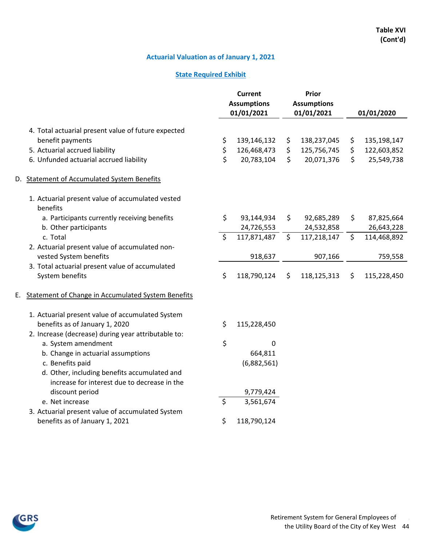## **Actuarial Valuation as of January 1, 2021**

# **State Required Exhibit**

|    |                                                                                              |         | <b>Current</b><br><b>Assumptions</b><br>01/01/2021 |                  | Prior<br><b>Assumptions</b><br>01/01/2021 |    | 01/01/2020  |  |
|----|----------------------------------------------------------------------------------------------|---------|----------------------------------------------------|------------------|-------------------------------------------|----|-------------|--|
|    | 4. Total actuarial present value of future expected                                          |         |                                                    |                  |                                           |    |             |  |
|    | benefit payments                                                                             | \$      | 139,146,132                                        | \$               | 138,237,045                               | \$ | 135,198,147 |  |
|    | 5. Actuarial accrued liability                                                               | \$      | 126,468,473                                        | \$               | 125,756,745                               | \$ | 122,603,852 |  |
|    | 6. Unfunded actuarial accrued liability                                                      | \$      | 20,783,104                                         | \$               | 20,071,376                                | \$ | 25,549,738  |  |
|    | D. Statement of Accumulated System Benefits                                                  |         |                                                    |                  |                                           |    |             |  |
|    | 1. Actuarial present value of accumulated vested<br>benefits                                 |         |                                                    |                  |                                           |    |             |  |
|    | a. Participants currently receiving benefits                                                 | \$      | 93,144,934                                         | \$               | 92,685,289                                | \$ | 87,825,664  |  |
|    | b. Other participants                                                                        |         | 24,726,553                                         |                  | 24,532,858                                |    | 26,643,228  |  |
|    | c. Total                                                                                     | \$      | 117,871,487                                        | $\overline{\xi}$ | 117,218,147                               | \$ | 114,468,892 |  |
|    | 2. Actuarial present value of accumulated non-                                               |         |                                                    |                  |                                           |    |             |  |
|    | vested System benefits                                                                       |         | 918,637                                            |                  | 907,166                                   |    | 759,558     |  |
|    | 3. Total actuarial present value of accumulated                                              |         |                                                    |                  |                                           |    |             |  |
|    | System benefits                                                                              | \$      | 118,790,124                                        | \$               | 118,125,313                               | \$ | 115,228,450 |  |
| Е. | <b>Statement of Change in Accumulated System Benefits</b>                                    |         |                                                    |                  |                                           |    |             |  |
|    | 1. Actuarial present value of accumulated System                                             |         |                                                    |                  |                                           |    |             |  |
|    | benefits as of January 1, 2020                                                               | \$      | 115,228,450                                        |                  |                                           |    |             |  |
|    | 2. Increase (decrease) during year attributable to:                                          |         |                                                    |                  |                                           |    |             |  |
|    | a. System amendment                                                                          | \$      | 0                                                  |                  |                                           |    |             |  |
|    | b. Change in actuarial assumptions                                                           |         | 664,811                                            |                  |                                           |    |             |  |
|    | c. Benefits paid                                                                             |         | (6,882,561)                                        |                  |                                           |    |             |  |
|    | d. Other, including benefits accumulated and<br>increase for interest due to decrease in the |         |                                                    |                  |                                           |    |             |  |
|    | discount period                                                                              |         | 9,779,424                                          |                  |                                           |    |             |  |
|    | e. Net increase                                                                              | $\zeta$ | 3,561,674                                          |                  |                                           |    |             |  |
|    | 3. Actuarial present value of accumulated System                                             |         |                                                    |                  |                                           |    |             |  |
|    | benefits as of January 1, 2021                                                               | \$      | 118,790,124                                        |                  |                                           |    |             |  |

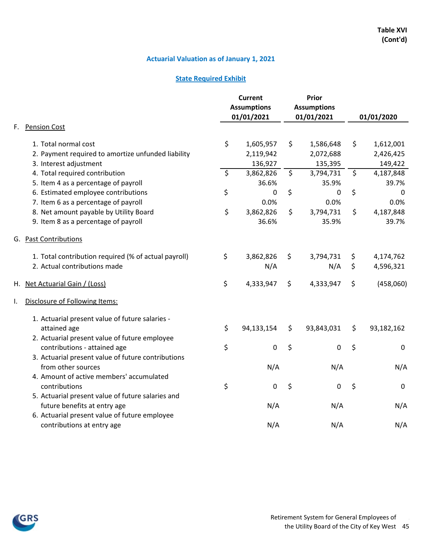## **Actuarial Valuation as of January 1, 2021**

## **State Required Exhibit**

|    |                                                      | <b>Current</b><br><b>Assumptions</b> | Prior<br><b>Assumptions</b> |    |             |
|----|------------------------------------------------------|--------------------------------------|-----------------------------|----|-------------|
|    |                                                      | 01/01/2021                           | 01/01/2021                  |    | 01/01/2020  |
| F. | <b>Pension Cost</b>                                  |                                      |                             |    |             |
|    | 1. Total normal cost                                 | \$<br>1,605,957                      | \$<br>1,586,648             | \$ | 1,612,001   |
|    | 2. Payment required to amortize unfunded liability   | 2,119,942                            | 2,072,688                   |    | 2,426,425   |
|    | 3. Interest adjustment                               | 136,927                              | 135,395                     |    | 149,422     |
|    | 4. Total required contribution                       | \$<br>3,862,826                      | \$<br>3,794,731             | \$ | 4,187,848   |
|    | 5. Item 4 as a percentage of payroll                 | 36.6%                                | 35.9%                       |    | 39.7%       |
|    | 6. Estimated employee contributions                  | \$<br>0                              | \$<br>0                     | \$ | $\mathbf 0$ |
|    | 7. Item 6 as a percentage of payroll                 | 0.0%                                 | 0.0%                        |    | 0.0%        |
|    | 8. Net amount payable by Utility Board               | \$<br>3,862,826                      | \$<br>3,794,731             | \$ | 4,187,848   |
|    | 9. Item 8 as a percentage of payroll                 | 36.6%                                | 35.9%                       |    | 39.7%       |
|    | G. Past Contributions                                |                                      |                             |    |             |
|    | 1. Total contribution required (% of actual payroll) | \$<br>3,862,826                      | \$<br>3,794,731             | \$ | 4,174,762   |
|    | 2. Actual contributions made                         | N/A                                  | N/A                         | \$ | 4,596,321   |
|    | H. Net Actuarial Gain / (Loss)                       | \$<br>4,333,947                      | \$<br>4,333,947             | \$ | (458,060)   |
| Ι. | Disclosure of Following Items:                       |                                      |                             |    |             |
|    | 1. Actuarial present value of future salaries -      |                                      |                             |    |             |
|    | attained age                                         | \$<br>94,133,154                     | \$<br>93,843,031            | \$ | 93,182,162  |
|    | 2. Actuarial present value of future employee        |                                      |                             |    |             |
|    | contributions - attained age                         | \$<br>$\pmb{0}$                      | \$<br>$\pmb{0}$             | \$ | $\mathbf 0$ |
|    | 3. Actuarial present value of future contributions   |                                      |                             |    |             |
|    | from other sources                                   | N/A                                  | N/A                         |    | N/A         |
|    | 4. Amount of active members' accumulated             |                                      |                             |    |             |
|    | contributions                                        | \$<br>0                              | \$<br>0                     | \$ | $\mathbf 0$ |
|    | 5. Actuarial present value of future salaries and    |                                      |                             |    |             |
|    | future benefits at entry age                         | N/A                                  | N/A                         |    | N/A         |
|    | 6. Actuarial present value of future employee        |                                      |                             |    |             |
|    | contributions at entry age                           | N/A                                  | N/A                         |    | N/A         |

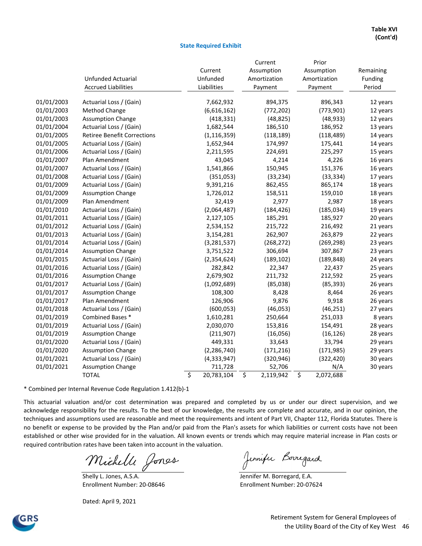#### **State Required Exhibit**

|            |                                    |                  |            | Current      | Prior           |           |
|------------|------------------------------------|------------------|------------|--------------|-----------------|-----------|
|            |                                    | Current          | Assumption |              | Assumption      | Remaining |
|            | Unfunded Actuarial                 | Unfunded         |            | Amortization | Amortization    | Funding   |
|            | <b>Accrued Liabilities</b>         | Liabilities      |            | Payment      | Payment         | Period    |
| 01/01/2003 | Actuarial Loss / (Gain)            | 7,662,932        |            | 894,375      | 896,343         | 12 years  |
| 01/01/2003 | <b>Method Change</b>               | (6,616,162)      |            | (772, 202)   | (773, 901)      | 12 years  |
| 01/01/2003 | <b>Assumption Change</b>           | (418, 331)       |            | (48, 825)    | (48, 933)       | 12 years  |
| 01/01/2004 | Actuarial Loss / (Gain)            | 1,682,544        |            | 186,510      | 186,952         | 13 years  |
| 01/01/2005 | <b>Retiree Benefit Corrections</b> | (1, 116, 359)    |            | (118, 189)   | (118, 489)      | 14 years  |
| 01/01/2005 | Actuarial Loss / (Gain)            | 1,652,944        |            | 174,997      | 175,441         | 14 years  |
| 01/01/2006 | Actuarial Loss / (Gain)            | 2,211,595        |            | 224,691      | 225,297         | 15 years  |
| 01/01/2007 | Plan Amendment                     | 43,045           |            | 4,214        | 4,226           | 16 years  |
| 01/01/2007 | Actuarial Loss / (Gain)            | 1,541,866        |            | 150,945      | 151,376         | 16 years  |
| 01/01/2008 | Actuarial Loss / (Gain)            | (351,053)        |            | (33, 234)    | (33, 334)       | 17 years  |
| 01/01/2009 | Actuarial Loss / (Gain)            | 9,391,216        |            | 862,455      | 865,174         | 18 years  |
| 01/01/2009 | <b>Assumption Change</b>           | 1,726,012        |            | 158,511      | 159,010         | 18 years  |
| 01/01/2009 | Plan Amendment                     | 32,419           |            | 2,977        | 2,987           | 18 years  |
| 01/01/2010 | Actuarial Loss / (Gain)            | (2,064,487)      |            | (184, 426)   | (185, 034)      | 19 years  |
| 01/01/2011 | Actuarial Loss / (Gain)            | 2,127,105        |            | 185,291      | 185,927         | 20 years  |
| 01/01/2012 | Actuarial Loss / (Gain)            | 2,534,152        |            | 215,722      | 216,492         | 21 years  |
| 01/01/2013 | Actuarial Loss / (Gain)            | 3,154,281        |            | 262,907      | 263,879         | 22 years  |
| 01/01/2014 | Actuarial Loss / (Gain)            | (3, 281, 537)    |            | (268, 272)   | (269, 298)      | 23 years  |
| 01/01/2014 | <b>Assumption Change</b>           | 3,751,522        |            | 306,694      | 307,867         | 23 years  |
| 01/01/2015 | Actuarial Loss / (Gain)            | (2,354,624)      |            | (189, 102)   | (189, 848)      | 24 years  |
| 01/01/2016 | Actuarial Loss / (Gain)            | 282,842          |            | 22,347       | 22,437          | 25 years  |
| 01/01/2016 | <b>Assumption Change</b>           | 2,679,902        |            | 211,732      | 212,592         | 25 years  |
| 01/01/2017 | Actuarial Loss / (Gain)            | (1,092,689)      |            | (85,038)     | (85, 393)       | 26 years  |
| 01/01/2017 | <b>Assumption Change</b>           | 108,300          |            | 8,428        | 8,464           | 26 years  |
| 01/01/2017 | Plan Amendment                     | 126,906          |            | 9,876        | 9,918           | 26 years  |
| 01/01/2018 | Actuarial Loss / (Gain)            | (600, 053)       |            | (46, 053)    | (46, 251)       | 27 years  |
| 01/01/2019 | Combined Bases *                   | 1,610,281        |            | 250,664      | 251,033         | 8 years   |
| 01/01/2019 | Actuarial Loss / (Gain)            | 2,030,070        |            | 153,816      | 154,491         | 28 years  |
| 01/01/2019 | <b>Assumption Change</b>           | (211,907)        |            | (16,056)     | (16, 126)       | 28 years  |
| 01/01/2020 | Actuarial Loss / (Gain)            | 449,331          |            | 33,643       | 33,794          | 29 years  |
| 01/01/2020 | <b>Assumption Change</b>           | (2, 286, 740)    |            | (171, 216)   | (171, 985)      | 29 years  |
| 01/01/2021 | Actuarial Loss / (Gain)            | (4,333,947)      |            | (320, 946)   | (322, 420)      | 30 years  |
| 01/01/2021 | <b>Assumption Change</b>           | 711,728          |            | 52,706       | N/A             | 30 years  |
|            | <b>TOTAL</b>                       | \$<br>20,783,104 | \$         | 2,119,942    | \$<br>2,072,688 |           |

\* Combined per Internal Revenue Code Regulation 1.412(b)-1

This actuarial valuation and/or cost determination was prepared and completed by us or under our direct supervision, and we acknowledge responsibility for the results. To the best of our knowledge, the results are complete and accurate, and in our opinion, the techniques and assumptions used are reasonable and meet the requirements and intent of Part VII, Chapter 112, Florida Statutes. There is no benefit or expense to be provided by the Plan and/or paid from the Plan's assets for which liabilities or current costs have not been established or other wise provided for in the valuation. All known events or trends which may require material increase in Plan costs or required contribution rates have been taken into account in the valuation.

Michelle Jones

Shelly L. Jones, A.S.A. **Jennifer M. Borregard, E.A.** 

Dated: April 9, 2021

Jennifee Borregard

Enrollment Number: 20-08646 Enrollment Number: 20-07624

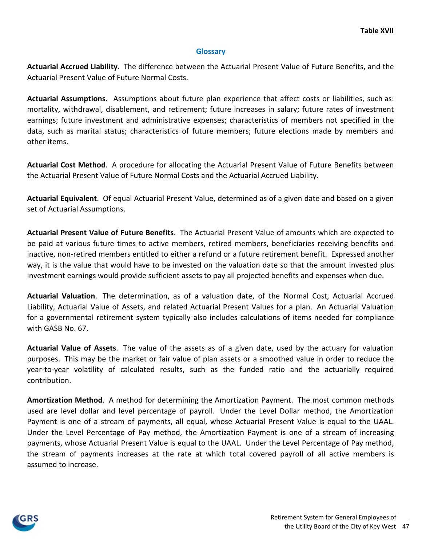#### **Glossary**

**Actuarial Accrued Liability**. The difference between the Actuarial Present Value of Future Benefits, and the Actuarial Present Value of Future Normal Costs.

**Actuarial Assumptions.** Assumptions about future plan experience that affect costs or liabilities, such as: mortality, withdrawal, disablement, and retirement; future increases in salary; future rates of investment earnings; future investment and administrative expenses; characteristics of members not specified in the data, such as marital status; characteristics of future members; future elections made by members and other items.

**Actuarial Cost Method**. A procedure for allocating the Actuarial Present Value of Future Benefits between the Actuarial Present Value of Future Normal Costs and the Actuarial Accrued Liability.

**Actuarial Equivalent**. Of equal Actuarial Present Value, determined as of a given date and based on a given set of Actuarial Assumptions.

**Actuarial Present Value of Future Benefits**. The Actuarial Present Value of amounts which are expected to be paid at various future times to active members, retired members, beneficiaries receiving benefits and inactive, non-retired members entitled to either a refund or a future retirement benefit. Expressed another way, it is the value that would have to be invested on the valuation date so that the amount invested plus investment earnings would provide sufficient assets to pay all projected benefits and expenses when due.

**Actuarial Valuation**. The determination, as of a valuation date, of the Normal Cost, Actuarial Accrued Liability, Actuarial Value of Assets, and related Actuarial Present Values for a plan. An Actuarial Valuation for a governmental retirement system typically also includes calculations of items needed for compliance with GASB No. 67.

**Actuarial Value of Assets**. The value of the assets as of a given date, used by the actuary for valuation purposes. This may be the market or fair value of plan assets or a smoothed value in order to reduce the year-to-year volatility of calculated results, such as the funded ratio and the actuarially required contribution.

**Amortization Method**. A method for determining the Amortization Payment. The most common methods used are level dollar and level percentage of payroll. Under the Level Dollar method, the Amortization Payment is one of a stream of payments, all equal, whose Actuarial Present Value is equal to the UAAL. Under the Level Percentage of Pay method, the Amortization Payment is one of a stream of increasing payments, whose Actuarial Present Value is equal to the UAAL. Under the Level Percentage of Pay method, the stream of payments increases at the rate at which total covered payroll of all active members is assumed to increase.

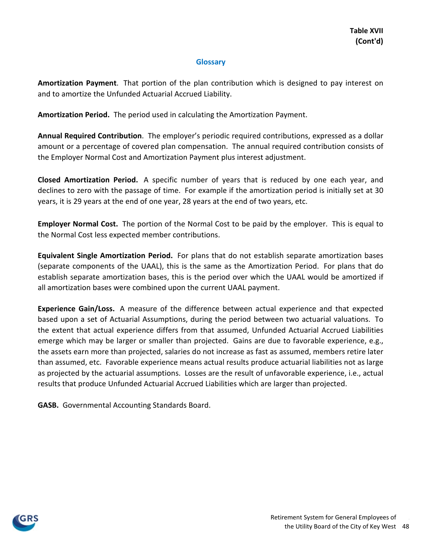## **Glossary**

**Amortization Payment**. That portion of the plan contribution which is designed to pay interest on and to amortize the Unfunded Actuarial Accrued Liability.

**Amortization Period.** The period used in calculating the Amortization Payment.

**Annual Required Contribution**. The employer's periodic required contributions, expressed as a dollar amount or a percentage of covered plan compensation. The annual required contribution consists of the Employer Normal Cost and Amortization Payment plus interest adjustment.

**Closed Amortization Period.** A specific number of years that is reduced by one each year, and declines to zero with the passage of time. For example if the amortization period is initially set at 30 years, it is 29 years at the end of one year, 28 years at the end of two years, etc.

**Employer Normal Cost.** The portion of the Normal Cost to be paid by the employer. This is equal to the Normal Cost less expected member contributions.

**Equivalent Single Amortization Period.** For plans that do not establish separate amortization bases (separate components of the UAAL), this is the same as the Amortization Period. For plans that do establish separate amortization bases, this is the period over which the UAAL would be amortized if all amortization bases were combined upon the current UAAL payment.

**Experience Gain/Loss.** A measure of the difference between actual experience and that expected based upon a set of Actuarial Assumptions, during the period between two actuarial valuations. To the extent that actual experience differs from that assumed, Unfunded Actuarial Accrued Liabilities emerge which may be larger or smaller than projected. Gains are due to favorable experience, e.g., the assets earn more than projected, salaries do not increase as fast as assumed, members retire later than assumed, etc. Favorable experience means actual results produce actuarial liabilities not as large as projected by the actuarial assumptions. Losses are the result of unfavorable experience, i.e., actual results that produce Unfunded Actuarial Accrued Liabilities which are larger than projected.

**GASB.** Governmental Accounting Standards Board.